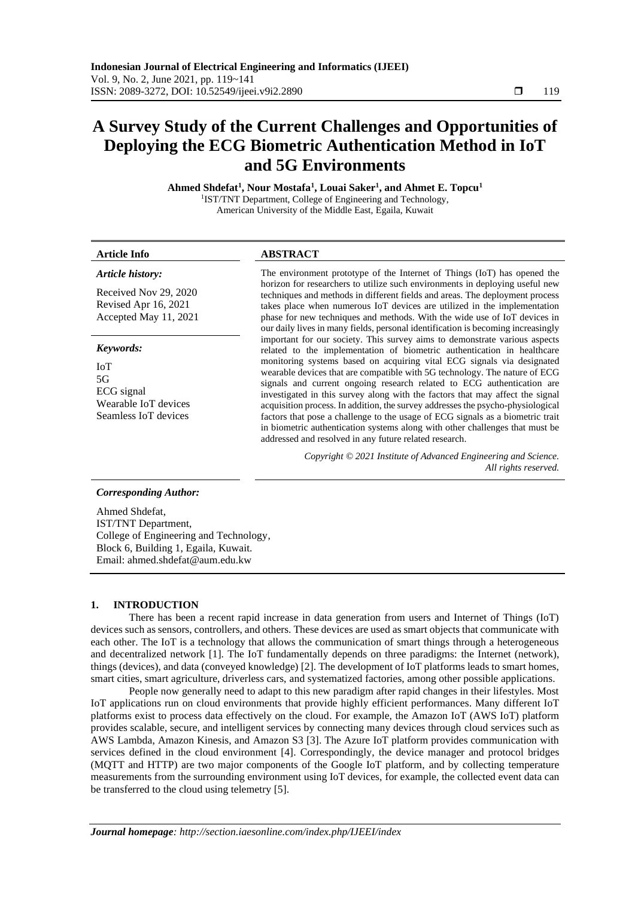# **A Survey Study of the Current Challenges and Opportunities of Deploying the ECG Biometric Authentication Method in IoT and 5G Environments**

**Ahmed Shdefat<sup>1</sup> , Nour Mostafa<sup>1</sup> , Louai Saker<sup>1</sup> , and Ahmet E. Topcu<sup>1</sup>** 1 IST/TNT Department, College of Engineering and Technology, American University of the Middle East, Egaila, Kuwait

#### *Article history:*

Received Nov 29, 2020 Revised Apr 16, 2021 Accepted May 11, 2021

#### *Keywords:*

IoT 5G ECG signal Wearable IoT devices Seamless IoT devices

### **Article Info ABSTRACT**

The environment prototype of the Internet of Things (IoT) has opened the horizon for researchers to utilize such environments in deploying useful new techniques and methods in different fields and areas. The deployment process takes place when numerous IoT devices are utilized in the implementation phase for new techniques and methods. With the wide use of IoT devices in our daily lives in many fields, personal identification is becoming increasingly important for our society. This survey aims to demonstrate various aspects related to the implementation of biometric authentication in healthcare monitoring systems based on acquiring vital ECG signals via designated wearable devices that are compatible with 5G technology. The nature of ECG signals and current ongoing research related to ECG authentication are investigated in this survey along with the factors that may affect the signal acquisition process. In addition, the survey addresses the psycho-physiological factors that pose a challenge to the usage of ECG signals as a biometric trait in biometric authentication systems along with other challenges that must be addressed and resolved in any future related research.

> *Copyright © 2021 Institute of Advanced Engineering and Science. All rights reserved.*

#### *Corresponding Author:*

Ahmed Shdefat, IST/TNT Department, College of Engineering and Technology, Block 6, Building 1, Egaila, Kuwait. Email: ahmed.shdefat@aum.edu.kw

# **1. INTRODUCTION**

There has been a recent rapid increase in data generation from users and Internet of Things (IoT) devices such as sensors, controllers, and others. These devices are used as smart objects that communicate with each other. The IoT is a technology that allows the communication of smart things through a heterogeneous and decentralized network [\[1\].](#page-16-0) The IoT fundamentally depends on three paradigms: the Internet (network), things (devices), and data (conveyed knowledge) [\[2\].](#page-16-1) The development of IoT platforms leads to smart homes, smart cities, smart agriculture, driverless cars, and systematized factories, among other possible applications.

People now generally need to adapt to this new paradigm after rapid changes in their lifestyles. Most IoT applications run on cloud environments that provide highly efficient performances. Many different IoT platforms exist to process data effectively on the cloud. For example, the Amazon IoT (AWS IoT) platform provides scalable, secure, and intelligent services by connecting many devices through cloud services such as AWS Lambda, Amazon Kinesis, and Amazon S3 [\[3\].](#page-16-2) The Azure IoT platform provides communication with services defined in the cloud environment [\[4\].](#page-16-3) Correspondingly, the device manager and protocol bridges (MQTT and HTTP) are two major components of the Google IoT platform, and by collecting temperature measurements from the surrounding environment using IoT devices, for example, the collected event data can be transferred to the cloud using telemetry [\[5\].](#page-16-4)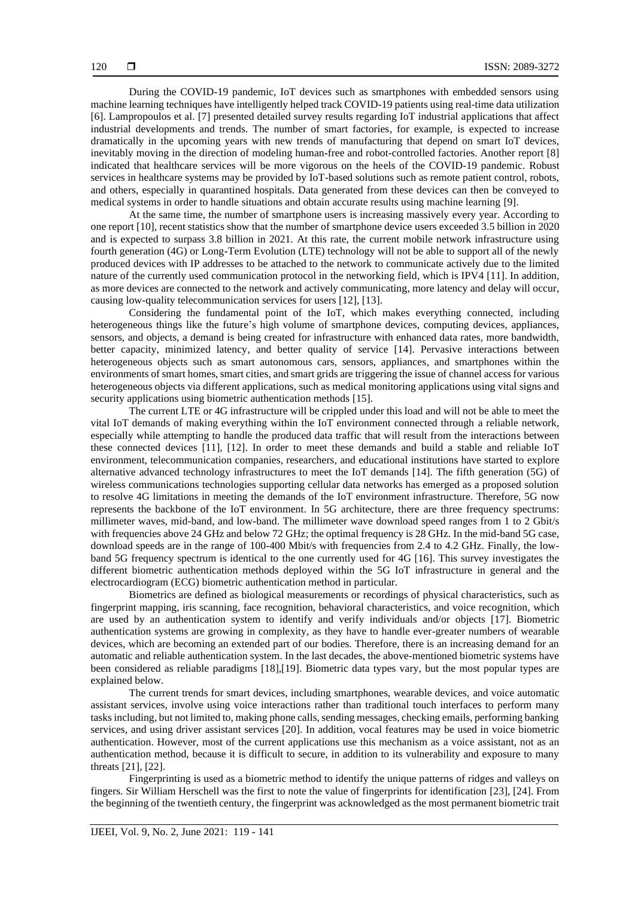During the COVID-19 pandemic, IoT devices such as smartphones with embedded sensors using machine learning techniques have intelligently helped track COVID-19 patients using real-time data utilization [\[6\].](#page-16-5) Lampropoulos et al. [\[7\]](#page-16-6) presented detailed survey results regarding IoT industrial applications that affect industrial developments and trends. The number of smart factories, for example, is expected to increase dramatically in the upcoming years with new trends of manufacturing that depend on smart IoT devices, inevitably moving in the direction of modeling human-free and robot-controlled factories. Another report [\[8\]](#page-16-7) indicated that healthcare services will be more vigorous on the heels of the COVID-19 pandemic. Robust services in healthcare systems may be provided by IoT-based solutions such as remote patient control, robots, and others, especially in quarantined hospitals. Data generated from these devices can then be conveyed to medical systems in order to handle situations and obtain accurate results using machine learning [\[9\].](#page-16-8)

At the same time, the number of smartphone users is increasing massively every year. According to one report [\[10\],](#page-16-9) recent statistics show that the number of smartphone device users exceeded 3.5 billion in 2020 and is expected to surpass 3.8 billion in 2021. At this rate, the current mobile network infrastructure using fourth generation (4G) or Long-Term Evolution (LTE) technology will not be able to support all of the newly produced devices with IP addresses to be attached to the network to communicate actively due to the limited nature of the currently used communication protocol in the networking field, which is IPV4 [\[11\].](#page-16-10) In addition, as more devices are connected to the network and actively communicating, more latency and delay will occur, causing low-quality telecommunication services for users [\[12\],](#page-16-11) [\[13\].](#page-16-12)

Considering the fundamental point of the IoT, which makes everything connected, including heterogeneous things like the future's high volume of smartphone devices, computing devices, appliances, sensors, and objects, a demand is being created for infrastructure with enhanced data rates, more bandwidth, better capacity, minimized latency, and better quality of service [\[14\].](#page-16-13) Pervasive interactions between heterogeneous objects such as smart autonomous cars, sensors, appliances, and smartphones within the environments of smart homes, smart cities, and smart grids are triggering the issue of channel access for various heterogeneous objects via different applications, such as medical monitoring applications using vital signs and security applications using biometric authentication method[s \[15\].](#page-16-14)

The current LTE or 4G infrastructure will be crippled under this load and will not be able to meet the vital IoT demands of making everything within the IoT environment connected through a reliable network, especially while attempting to handle the produced data traffic that will result from the interactions between these connected devices [\[11\],](#page-16-10) [\[12\].](#page-16-11) In order to meet these demands and build a stable and reliable IoT environment, telecommunication companies, researchers, and educational institutions have started to explore alternative advanced technology infrastructures to meet the IoT demands [\[14\].](#page-16-13) The fifth generation (5G) of wireless communications technologies supporting cellular data networks has emerged as a proposed solution to resolve 4G limitations in meeting the demands of the IoT environment infrastructure. Therefore, 5G now represents the backbone of the IoT environment. In 5G architecture, there are three frequency spectrums: millimeter waves, mid-band, and low-band. The millimeter wave download speed ranges from 1 to 2 Gbit/s with frequencies above 24 GHz and below 72 GHz; the optimal frequency is 28 GHz. In the mid-band 5G case, download speeds are in the range of 100-400 Mbit/s with frequencies from 2.4 to 4.2 GHz. Finally, the lowband 5G frequency spectrum is identical to the one currently used for 4G [\[16\].](#page-17-0) This survey investigates the different biometric authentication methods deployed within the 5G IoT infrastructure in general and the electrocardiogram (ECG) biometric authentication method in particular.

Biometrics are defined as biological measurements or recordings of physical characteristics, such as fingerprint mapping, iris scanning, face recognition, behavioral characteristics, and voice recognition, which are used by an authentication system to identify and verify individuals and/or objects [\[17\].](#page-17-1) Biometric authentication systems are growing in complexity, as they have to handle ever-greater numbers of wearable devices, which are becoming an extended part of our bodies. Therefore, there is an increasing demand for an automatic and reliable authentication system. In the last decades, the above-mentioned biometric systems have been considered as reliable paradigms [\[18\],](#page-17-2)[\[19\].](#page-17-3) Biometric data types vary, but the most popular types are explained below.

The current trends for smart devices, including smartphones, wearable devices, and voice automatic assistant services, involve using voice interactions rather than traditional touch interfaces to perform many tasks including, but not limited to, making phone calls, sending messages, checking emails, performing banking services, and using driver assistant services [\[20\].](#page-17-4) In addition, vocal features may be used in voice biometric authentication. However, most of the current applications use this mechanism as a voice assistant, not as an authentication method, because it is difficult to secure, in addition to its vulnerability and exposure to many threats [\[21\],](#page-17-5) [\[22\].](#page-17-6)

Fingerprinting is used as a biometric method to identify the unique patterns of ridges and valleys on fingers. Sir William Herschell was the first to note the value of fingerprints for identification [\[23\],](#page-17-7) [\[24\].](#page-17-8) From the beginning of the twentieth century, the fingerprint was acknowledged as the most permanent biometric trait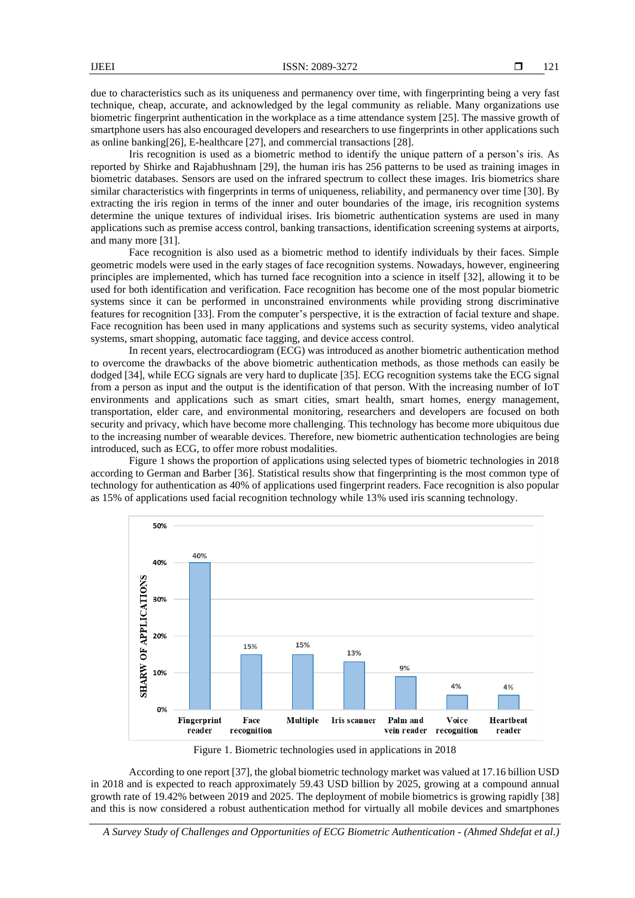due to characteristics such as its uniqueness and permanency over time, with fingerprinting being a very fast technique, cheap, accurate, and acknowledged by the legal community as reliable. Many organizations use biometric fingerprint authentication in the workplace as a time attendance syste[m \[25\].](#page-17-9) The massive growth of smartphone users has also encouraged developers and researchers to use fingerprints in other applications such as online bankin[g\[26\],](#page-17-10) E-healthcare [\[27\],](#page-17-11) and commercial transactions [\[28\].](#page-17-12)

Iris recognition is used as a biometric method to identify the unique pattern of a person's iris. As reported by Shirke and Rajabhushnam [\[29\],](#page-17-13) the human iris has 256 patterns to be used as training images in biometric databases. Sensors are used on the infrared spectrum to collect these images. Iris biometrics share similar characteristics with fingerprints in terms of uniqueness, reliability, and permanency over time [\[30\].](#page-17-14) By extracting the iris region in terms of the inner and outer boundaries of the image, iris recognition systems determine the unique textures of individual irises. Iris biometric authentication systems are used in many applications such as premise access control, banking transactions, identification screening systems at airports, and many more [\[31\].](#page-17-15)

Face recognition is also used as a biometric method to identify individuals by their faces. Simple geometric models were used in the early stages of face recognition systems. Nowadays, however, engineering principles are implemented, which has turned face recognition into a science in itself [\[32\],](#page-17-16) allowing it to be used for both identification and verification. Face recognition has become one of the most popular biometric systems since it can be performed in unconstrained environments while providing strong discriminative features for recognition [\[33\].](#page-17-17) From the computer's perspective, it is the extraction of facial texture and shape. Face recognition has been used in many applications and systems such as security systems, video analytical systems, smart shopping, automatic face tagging, and device access control.

In recent years, electrocardiogram (ECG) was introduced as another biometric authentication method to overcome the drawbacks of the above biometric authentication methods, as those methods can easily be dodged [\[34\],](#page-17-18) while ECG signals are very hard to duplicate [\[35\].](#page-17-19) ECG recognition systems take the ECG signal from a person as input and the output is the identification of that person. With the increasing number of IoT environments and applications such as smart cities, smart health, smart homes, energy management, transportation, elder care, and environmental monitoring, researchers and developers are focused on both security and privacy, which have become more challenging. This technology has become more ubiquitous due to the increasing number of wearable devices. Therefore, new biometric authentication technologies are being introduced, such as ECG, to offer more robust modalities.

Figure 1 shows the proportion of applications using selected types of biometric technologies in 2018 according to German and Barber [\[36\].](#page-17-20) Statistical results show that fingerprinting is the most common type of technology for authentication as 40% of applications used fingerprint readers. Face recognition is also popular as 15% of applications used facial recognition technology while 13% used iris scanning technology.



Figure 1. Biometric technologies used in applications in 2018

According to one repor[t \[37\],](#page-17-21) the global biometric technology market was valued at 17.16 billion USD in 2018 and is expected to reach approximately 59.43 USD billion by 2025, growing at a compound annual growth rate of 19.42% between 2019 and 2025. The deployment of mobile biometrics is growing rapidly [\[38\]](#page-17-22) and this is now considered a robust authentication method for virtually all mobile devices and smartphones

*A Survey Study of Challenges and Opportunities of ECG Biometric Authentication - (Ahmed Shdefat et al.)*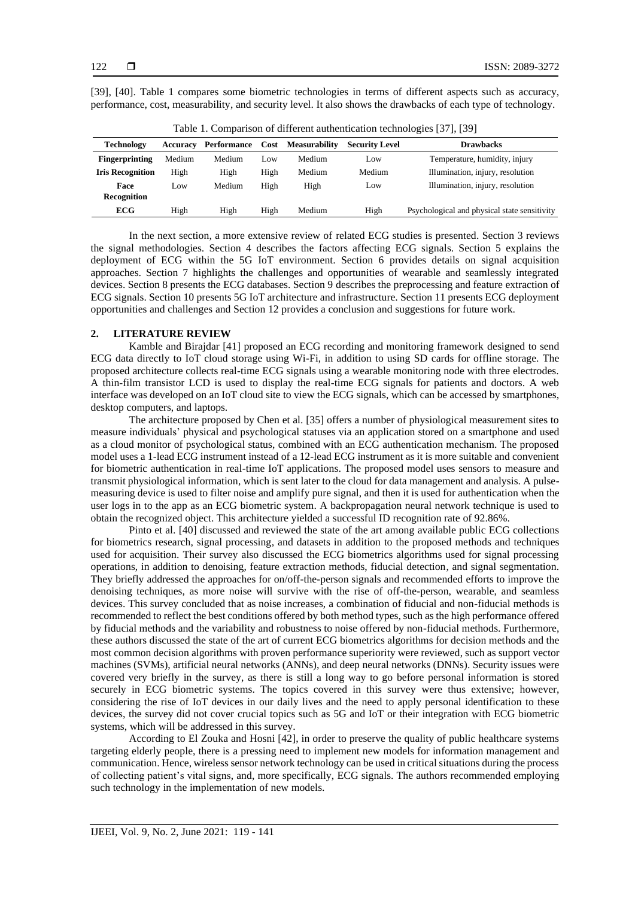[\[39\],](#page-18-0) [\[40\].](#page-18-1) Table 1 compares some biometric technologies in terms of different aspects such as accuracy, performance, cost, measurability, and security level. It also shows the drawbacks of each type of technology.

| <b>Technology</b>       | Accuracy | Performance | Cost | <b>Measurability</b> | <b>Security Level</b> | <b>Drawbacks</b>                             |
|-------------------------|----------|-------------|------|----------------------|-----------------------|----------------------------------------------|
| <b>Fingerprinting</b>   | Medium   | Medium      | Low  | Medium               | Low                   | Temperature, humidity, injury                |
| <b>Iris Recognition</b> | High     | High        | High | Medium               | Medium                | Illumination, injury, resolution             |
| Face                    | Low      | Medium      | High | High                 | Low                   | Illumination, injury, resolution             |
| <b>Recognition</b>      |          |             |      |                      |                       |                                              |
| <b>ECG</b>              | High     | High        | High | Medium               | High                  | Psychological and physical state sensitivity |
|                         |          |             |      |                      |                       |                                              |

Table 1. Comparison of different authentication technologies [\[37\],](#page-17-21) [\[39\]](#page-18-0)

In the next section, a more extensive review of related ECG studies is presented. Section 3 reviews the signal methodologies. Section 4 describes the factors affecting ECG signals. Section 5 explains the deployment of ECG within the 5G IoT environment. Section 6 provides details on signal acquisition approaches. Section 7 highlights the challenges and opportunities of wearable and seamlessly integrated devices. Section 8 presents the ECG databases. Section 9 describes the preprocessing and feature extraction of ECG signals. Section 10 presents 5G IoT architecture and infrastructure. Section 11 presents ECG deployment opportunities and challenges and Section 12 provides a conclusion and suggestions for future work.

# **2. LITERATURE REVIEW**

Kamble and Birajdar [\[41\]](#page-18-2) proposed an ECG recording and monitoring framework designed to send ECG data directly to IoT cloud storage using Wi-Fi, in addition to using SD cards for offline storage. The proposed architecture collects real-time ECG signals using a wearable monitoring node with three electrodes. A thin-film transistor LCD is used to display the real-time ECG signals for patients and doctors. A web interface was developed on an IoT cloud site to view the ECG signals, which can be accessed by smartphones, desktop computers, and laptops.

The architecture proposed by Chen et al. [\[35\]](#page-17-19) offers a number of physiological measurement sites to measure individuals' physical and psychological statuses via an application stored on a smartphone and used as a cloud monitor of psychological status, combined with an ECG authentication mechanism. The proposed model uses a 1-lead ECG instrument instead of a 12-lead ECG instrument as it is more suitable and convenient for biometric authentication in real-time IoT applications. The proposed model uses sensors to measure and transmit physiological information, which is sent later to the cloud for data management and analysis. A pulsemeasuring device is used to filter noise and amplify pure signal, and then it is used for authentication when the user logs in to the app as an ECG biometric system. A backpropagation neural network technique is used to obtain the recognized object. This architecture yielded a successful ID recognition rate of 92.86%.

Pinto et al. [\[40\]](#page-18-1) discussed and reviewed the state of the art among available public ECG collections for biometrics research, signal processing, and datasets in addition to the proposed methods and techniques used for acquisition. Their survey also discussed the ECG biometrics algorithms used for signal processing operations, in addition to denoising, feature extraction methods, fiducial detection, and signal segmentation. They briefly addressed the approaches for on/off-the-person signals and recommended efforts to improve the denoising techniques, as more noise will survive with the rise of off-the-person, wearable, and seamless devices. This survey concluded that as noise increases, a combination of fiducial and non-fiducial methods is recommended to reflect the best conditions offered by both method types, such as the high performance offered by fiducial methods and the variability and robustness to noise offered by non-fiducial methods. Furthermore, these authors discussed the state of the art of current ECG biometrics algorithms for decision methods and the most common decision algorithms with proven performance superiority were reviewed, such as support vector machines (SVMs), artificial neural networks (ANNs), and deep neural networks (DNNs). Security issues were covered very briefly in the survey, as there is still a long way to go before personal information is stored securely in ECG biometric systems. The topics covered in this survey were thus extensive; however, considering the rise of IoT devices in our daily lives and the need to apply personal identification to these devices, the survey did not cover crucial topics such as 5G and IoT or their integration with ECG biometric systems, which will be addressed in this survey.

According to El Zouka and Hosni [\[42\],](#page-18-3) in order to preserve the quality of public healthcare systems targeting elderly people, there is a pressing need to implement new models for information management and communication. Hence, wireless sensor network technology can be used in critical situations during the process of collecting patient's vital signs, and, more specifically, ECG signals. The authors recommended employing such technology in the implementation of new models.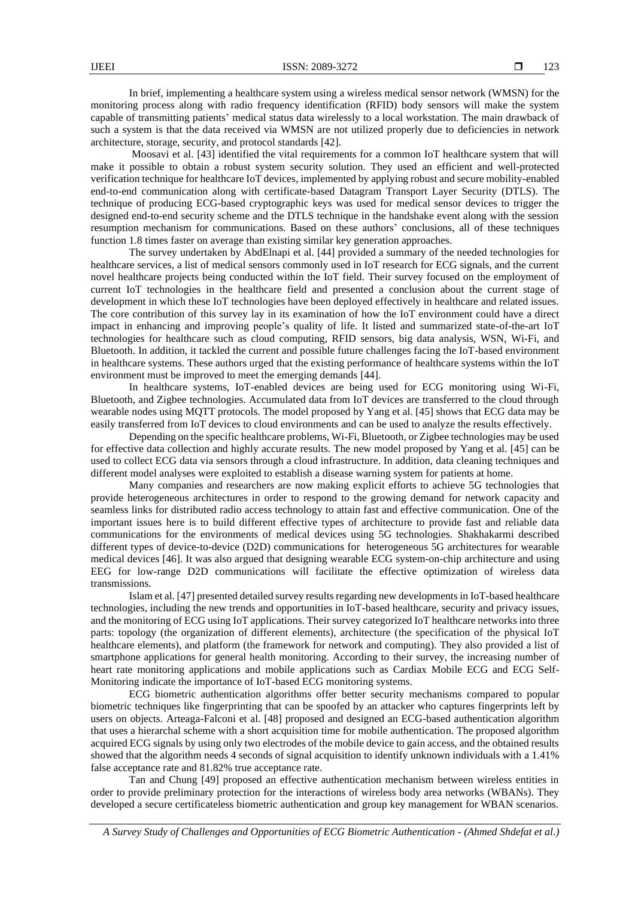In brief, implementing a healthcare system using a wireless medical sensor network (WMSN) for the monitoring process along with radio frequency identification (RFID) body sensors will make the system capable of transmitting patients' medical status data wirelessly to a local workstation. The main drawback of such a system is that the data received via WMSN are not utilized properly due to deficiencies in network architecture, storage, security, and protocol standards [\[42\].](#page-18-3)

Moosavi et al. [\[43\]](#page-18-4) identified the vital requirements for a common IoT healthcare system that will make it possible to obtain a robust system security solution. They used an efficient and well-protected verification technique for healthcare IoT devices, implemented by applying robust and secure mobility-enabled end-to-end communication along with certificate-based Datagram Transport Layer Security (DTLS). The technique of producing ECG-based cryptographic keys was used for medical sensor devices to trigger the designed end-to-end security scheme and the DTLS technique in the handshake event along with the session resumption mechanism for communications. Based on these authors' conclusions, all of these techniques function 1.8 times faster on average than existing similar key generation approaches.

The survey undertaken by AbdElnapi et al. [\[44\]](#page-18-5) provided a summary of the needed technologies for healthcare services, a list of medical sensors commonly used in IoT research for ECG signals, and the current novel healthcare projects being conducted within the IoT field. Their survey focused on the employment of current IoT technologies in the healthcare field and presented a conclusion about the current stage of development in which these IoT technologies have been deployed effectively in healthcare and related issues. The core contribution of this survey lay in its examination of how the IoT environment could have a direct impact in enhancing and improving people's quality of life. It listed and summarized state-of-the-art IoT technologies for healthcare such as cloud computing, RFID sensors, big data analysis, WSN, Wi-Fi, and Bluetooth. In addition, it tackled the current and possible future challenges facing the IoT-based environment in healthcare systems. These authors urged that the existing performance of healthcare systems within the IoT environment must be improved to meet the emerging demands [\[44\].](#page-18-5)

In healthcare systems, IoT-enabled devices are being used for ECG monitoring using Wi-Fi, Bluetooth, and Zigbee technologies. Accumulated data from IoT devices are transferred to the cloud through wearable nodes using MQTT protocols. The model proposed by Yang et al. [\[45\]](#page-18-6) shows that ECG data may be easily transferred from IoT devices to cloud environments and can be used to analyze the results effectively.

Depending on the specific healthcare problems, Wi-Fi, Bluetooth, or Zigbee technologies may be used for effective data collection and highly accurate results. The new model proposed by Yang et al. [\[45\]](#page-18-6) can be used to collect ECG data via sensors through a cloud infrastructure. In addition, data cleaning techniques and different model analyses were exploited to establish a disease warning system for patients at home.

Many companies and researchers are now making explicit efforts to achieve 5G technologies that provide heterogeneous architectures in order to respond to the growing demand for network capacity and seamless links for distributed radio access technology to attain fast and effective communication. One of the important issues here is to build different effective types of architecture to provide fast and reliable data communications for the environments of medical devices using 5G technologies. Shakhakarmi described different types of device-to-device (D2D) communications for heterogeneous 5G architectures for wearable medical devices [\[46\].](#page-18-7) It was also argued that designing wearable ECG system-on-chip architecture and using EEG for low-range D2D communications will facilitate the effective optimization of wireless data transmissions.

Islam et al. [\[47\]](#page-18-8) presented detailed survey results regarding new developmentsin IoT-based healthcare technologies, including the new trends and opportunities in IoT-based healthcare, security and privacy issues, and the monitoring of ECG using IoT applications. Their survey categorized IoT healthcare networks into three parts: topology (the organization of different elements), architecture (the specification of the physical IoT healthcare elements), and platform (the framework for network and computing). They also provided a list of smartphone applications for general health monitoring. According to their survey, the increasing number of heart rate monitoring applications and mobile applications such as Cardiax Mobile ECG and ECG Self-Monitoring indicate the importance of IoT-based ECG monitoring systems.

ECG biometric authentication algorithms offer better security mechanisms compared to popular biometric techniques like fingerprinting that can be spoofed by an attacker who captures fingerprints left by users on objects. Arteaga-Falconi et al. [\[48\]](#page-18-9) proposed and designed an ECG-based authentication algorithm that uses a hierarchal scheme with a short acquisition time for mobile authentication. The proposed algorithm acquired ECG signals by using only two electrodes of the mobile device to gain access, and the obtained results showed that the algorithm needs 4 seconds of signal acquisition to identify unknown individuals with a 1.41% false acceptance rate and 81.82% true acceptance rate.

Tan and Chung [\[49\]](#page-18-10) proposed an effective authentication mechanism between wireless entities in order to provide preliminary protection for the interactions of wireless body area networks (WBANs). They developed a secure certificateless biometric authentication and group key management for WBAN scenarios.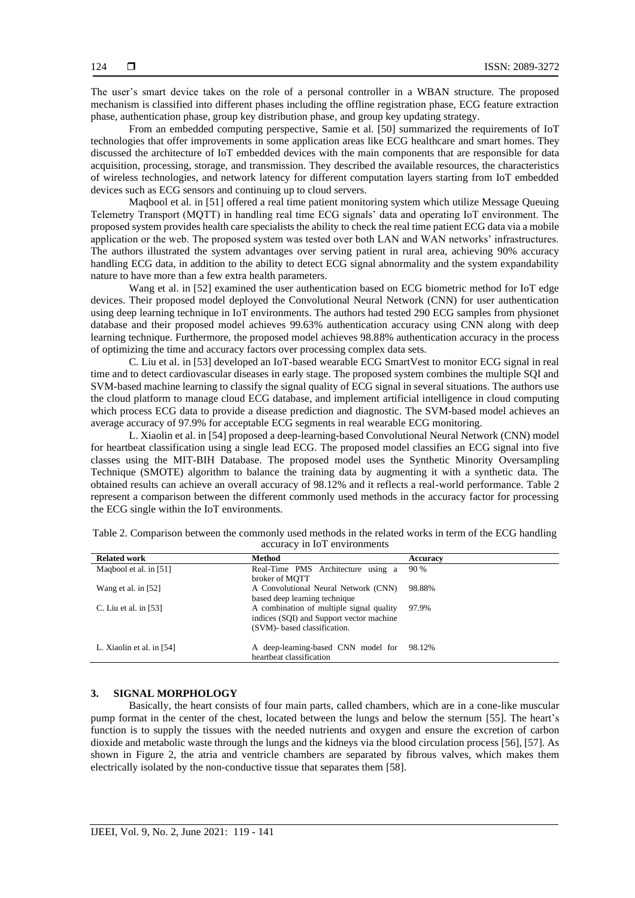The user's smart device takes on the role of a personal controller in a WBAN structure. The proposed mechanism is classified into different phases including the offline registration phase, ECG feature extraction phase, authentication phase, group key distribution phase, and group key updating strategy.

From an embedded computing perspective, Samie et al. [\[50\]](#page-18-11) summarized the requirements of IoT technologies that offer improvements in some application areas like ECG healthcare and smart homes. They discussed the architecture of IoT embedded devices with the main components that are responsible for data acquisition, processing, storage, and transmission. They described the available resources, the characteristics of wireless technologies, and network latency for different computation layers starting from IoT embedded devices such as ECG sensors and continuing up to cloud servers.

Maqbool et al. in [\[51\]](#page-18-12) offered a real time patient monitoring system which utilize Message Queuing Telemetry Transport (MQTT) in handling real time ECG signals' data and operating IoT environment. The proposed system provides health care specialists the ability to check the real time patient ECG data via a mobile application or the web. The proposed system was tested over both LAN and WAN networks' infrastructures. The authors illustrated the system advantages over serving patient in rural area, achieving 90% accuracy handling ECG data, in addition to the ability to detect ECG signal abnormality and the system expandability nature to have more than a few extra health parameters.

Wang et al. in [\[52\]](#page-18-13) examined the user authentication based on ECG biometric method for IoT edge devices. Their proposed model deployed the Convolutional Neural Network (CNN) for user authentication using deep learning technique in IoT environments. The authors had tested 290 ECG samples from physionet database and their proposed model achieves 99.63% authentication accuracy using CNN along with deep learning technique. Furthermore, the proposed model achieves 98.88% authentication accuracy in the process of optimizing the time and accuracy factors over processing complex data sets.

C. Liu et al. i[n \[53\]](#page-18-14) developed an IoT-based wearable ECG SmartVest to monitor ECG signal in real time and to detect cardiovascular diseases in early stage. The proposed system combines the multiple SQI and SVM-based machine learning to classify the signal quality of ECG signal in several situations. The authors use the cloud platform to manage cloud ECG database, and implement artificial intelligence in cloud computing which process ECG data to provide a disease prediction and diagnostic. The SVM-based model achieves an average accuracy of 97.9% for acceptable ECG segments in real wearable ECG monitoring.

L. Xiaolin et al. i[n \[54\]](#page-18-15) proposed a deep-learning-based Convolutional Neural Network (CNN) model for heartbeat classification using a single lead ECG. The proposed model classifies an ECG signal into five classes using the MIT-BIH Database. The proposed model uses the Synthetic Minority Oversampling Technique (SMOTE) algorithm to balance the training data by augmenting it with a synthetic data. The obtained results can achieve an overall accuracy of 98.12% and it reflects a real-world performance. Table 2 represent a comparison between the different commonly used methods in the accuracy factor for processing the ECG single within the IoT environments.

| <b>Related work</b>       | Method                                                                                                               | Accuracy |
|---------------------------|----------------------------------------------------------------------------------------------------------------------|----------|
| Magbool et al. in [51]    | Real-Time PMS Architecture using a<br>broker of MOTT                                                                 | 90 %     |
| Wang et al. in $[52]$     | A Convolutional Neural Network (CNN)<br>based deep learning technique                                                | 98.88%   |
| C. Liu et al. in $[53]$   | A combination of multiple signal quality<br>indices (SQI) and Support vector machine<br>(SVM)- based classification. | 97.9%    |
| L. Xiaolin et al. in [54] | A deep-learning-based CNN model for 98.12%<br>heartbeat classification                                               |          |

Table 2. Comparison between the commonly used methods in the related works in term of the ECG handling accuracy in IoT environments

#### **3. SIGNAL MORPHOLOGY**

Basically, the heart consists of four main parts, called chambers, which are in a cone-like muscular pump format in the center of the chest, located between the lungs and below the sternum [\[55\].](#page-18-16) The heart's function is to supply the tissues with the needed nutrients and oxygen and ensure the excretion of carbon dioxide and metabolic waste through the lungs and the kidneys via the blood circulation process [\[56\],](#page-18-17) [\[57\].](#page-18-18) As shown in Figure 2, the atria and ventricle chambers are separated by fibrous valves, which makes them electrically isolated by the non-conductive tissue that separates them [\[58\].](#page-18-19)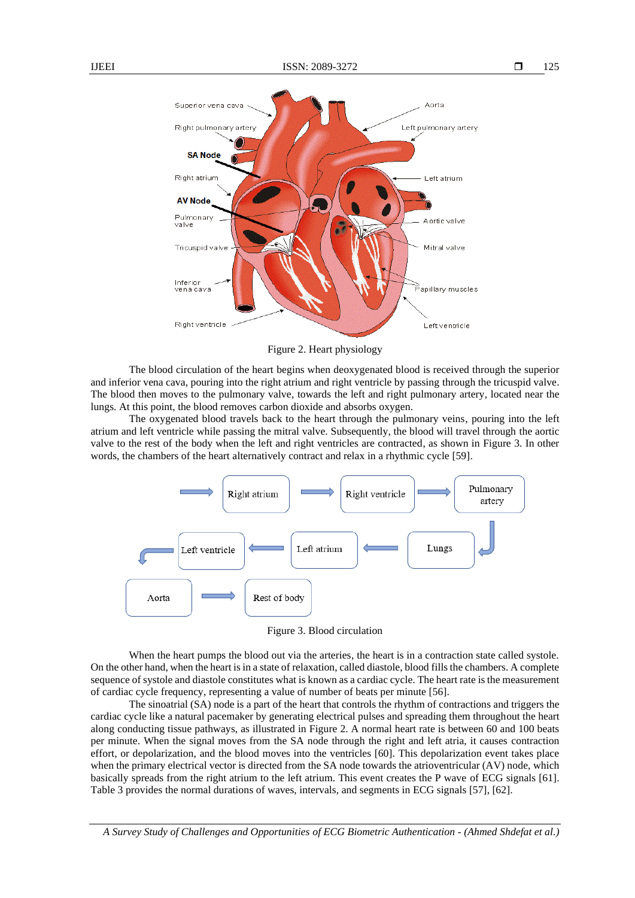

Figure 2. Heart physiology

The blood circulation of the heart begins when deoxygenated blood is received through the superior and inferior vena cava, pouring into the right atrium and right ventricle by passing through the tricuspid valve. The blood then moves to the pulmonary valve, towards the left and right pulmonary artery, located near the lungs. At this point, the blood removes carbon dioxide and absorbs oxygen.

The oxygenated blood travels back to the heart through the pulmonary veins, pouring into the left atrium and left ventricle while passing the mitral valve. Subsequently, the blood will travel through the aortic valve to the rest of the body when the left and right ventricles are contracted, as shown in Figure 3. In other words, the chambers of the heart alternatively contract and relax in a rhythmic cycle [\[59\].](#page-18-20)



Figure 3. Blood circulation

When the heart pumps the blood out via the arteries, the heart is in a contraction state called systole. On the other hand, when the heart is in a state of relaxation, called diastole, blood fillsthe chambers. A complete sequence of systole and diastole constitutes what is known as a cardiac cycle. The heart rate is the measurement of cardiac cycle frequency, representing a value of number of beats per minute [\[56\].](#page-18-17)

The sinoatrial (SA) node is a part of the heart that controls the rhythm of contractions and triggers the cardiac cycle like a natural pacemaker by generating electrical pulses and spreading them throughout the heart along conducting tissue pathways, as illustrated in Figure 2. A normal heart rate is between 60 and 100 beats per minute. When the signal moves from the SA node through the right and left atria, it causes contraction effort, or depolarization, and the blood moves into the ventricles [\[60\].](#page-18-21) This depolarization event takes place when the primary electrical vector is directed from the SA node towards the atrioventricular (AV) node, which basically spreads from the right atrium to the left atrium. This event creates the P wave of ECG signals [\[61\].](#page-18-22) Table 3 provides the normal durations of waves, intervals, and segments in ECG signals [\[57\],](#page-18-18) [\[62\].](#page-19-0)

*A Survey Study of Challenges and Opportunities of ECG Biometric Authentication - (Ahmed Shdefat et al.)*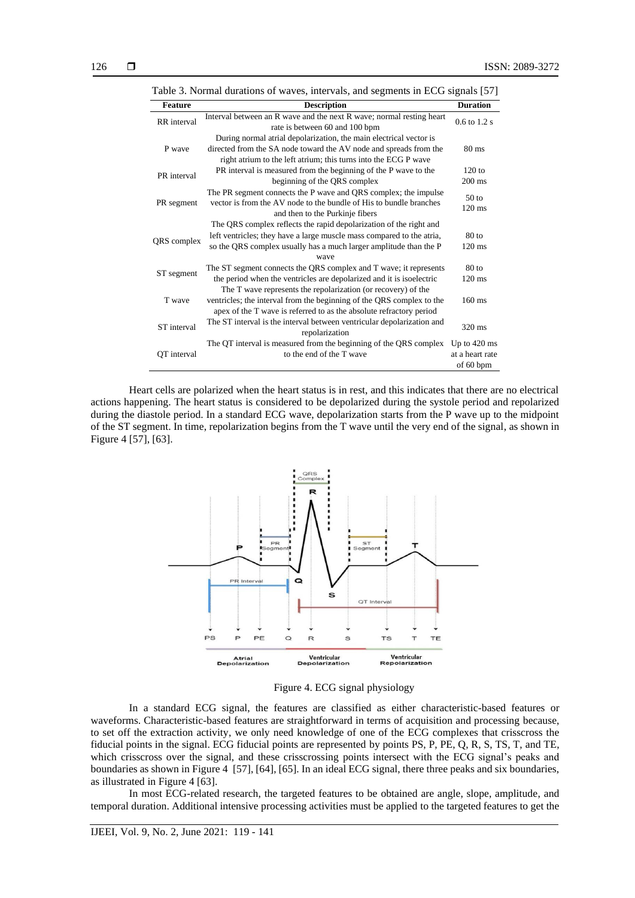| Table 3. Normal durations of waves, intervals, and segments in ECG signals [57] |                                                                                                                                                                                                                          |                                                        |  |
|---------------------------------------------------------------------------------|--------------------------------------------------------------------------------------------------------------------------------------------------------------------------------------------------------------------------|--------------------------------------------------------|--|
| <b>Feature</b>                                                                  | <b>Description</b>                                                                                                                                                                                                       | <b>Duration</b>                                        |  |
| <b>RR</b> interval                                                              | Interval between an R wave and the next R wave; normal resting heart<br>rate is between 60 and 100 bpm                                                                                                                   | $0.6$ to $1.2$ s                                       |  |
| P wave                                                                          | During normal atrial depolarization, the main electrical vector is<br>directed from the SA node toward the AV node and spreads from the<br>right atrium to the left atrium; this turns into the ECG P wave               | $80 \text{ ms}$                                        |  |
| PR interval                                                                     | PR interval is measured from the beginning of the P wave to the<br>beginning of the QRS complex                                                                                                                          | $120$ to<br>$200 \text{ ms}$                           |  |
| PR segment                                                                      | The PR segment connects the P wave and QRS complex; the impulse<br>vector is from the AV node to the bundle of His to bundle branches<br>and then to the Purkinje fibers                                                 | $50$ to<br>$120 \text{ ms}$                            |  |
| QRS complex                                                                     | The QRS complex reflects the rapid depolarization of the right and<br>left ventricles; they have a large muscle mass compared to the atria,<br>so the QRS complex usually has a much larger amplitude than the P<br>wave | $80$ to<br>$120 \text{ ms}$                            |  |
| ST segment                                                                      | The ST segment connects the QRS complex and T wave; it represents<br>the period when the ventricles are depolarized and it is isoelectric<br>The T wave represents the repolarization (or recovery) of the               | $80$ to<br>$120 \text{ ms}$                            |  |
| T wave                                                                          | ventricles; the interval from the beginning of the QRS complex to the<br>apex of the T wave is referred to as the absolute refractory period                                                                             | $160$ ms                                               |  |
| ST interval                                                                     | The ST interval is the interval between ventricular depolarization and<br>repolarization                                                                                                                                 | 320 ms                                                 |  |
| OT interval                                                                     | The QT interval is measured from the beginning of the QRS complex<br>to the end of the T wave                                                                                                                            | Up to $420 \text{ ms}$<br>at a heart rate<br>of 60 bpm |  |

Heart cells are polarized when the heart status is in rest, and this indicates that there are no electrical actions happening. The heart status is considered to be depolarized during the systole period and repolarized during the diastole period. In a standard ECG wave, depolarization starts from the P wave up to the midpoint of the ST segment. In time, repolarization begins from the T wave until the very end of the signal, as shown in Figure 4 [\[57\],](#page-18-18) [\[63\].](#page-19-1)



Figure 4. ECG signal physiology

In a standard ECG signal, the features are classified as either characteristic-based features or waveforms. Characteristic-based features are straightforward in terms of acquisition and processing because, to set off the extraction activity, we only need knowledge of one of the ECG complexes that crisscross the fiducial points in the signal. ECG fiducial points are represented by points PS, P, PE, Q, R, S, TS, T, and TE, which crisscross over the signal, and these crisscrossing points intersect with the ECG signal's peaks and boundaries as shown in Figure 4 [\[57\],](#page-18-18) [\[64\],](#page-19-2) [\[65\].](#page-19-3) In an ideal ECG signal, there three peaks and six boundaries, as illustrated in Figure 4 [\[63\].](#page-19-1)

In most ECG-related research, the targeted features to be obtained are angle, slope, amplitude, and temporal duration. Additional intensive processing activities must be applied to the targeted features to get the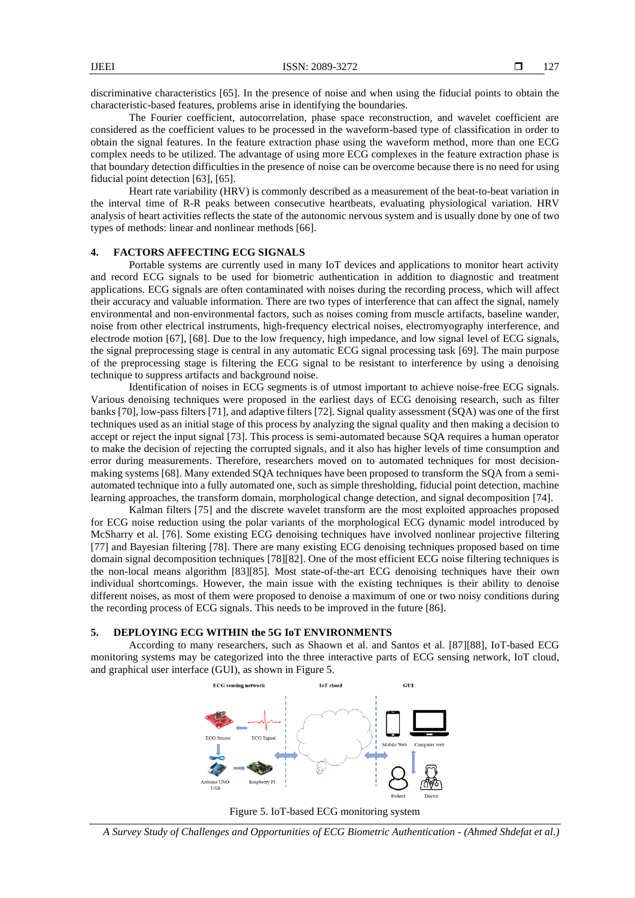discriminative characteristics [\[65\].](#page-19-3) In the presence of noise and when using the fiducial points to obtain the characteristic-based features, problems arise in identifying the boundaries.

The Fourier coefficient, autocorrelation, phase space reconstruction, and wavelet coefficient are considered as the coefficient values to be processed in the waveform-based type of classification in order to obtain the signal features. In the feature extraction phase using the waveform method, more than one ECG complex needs to be utilized. The advantage of using more ECG complexes in the feature extraction phase is that boundary detection difficulties in the presence of noise can be overcome because there is no need for using fiducial point detection [\[63\],](#page-19-1) [\[65\].](#page-19-3)

Heart rate variability (HRV) is commonly described as a measurement of the beat-to-beat variation in the interval time of R-R peaks between consecutive heartbeats, evaluating physiological variation. HRV analysis of heart activities reflects the state of the autonomic nervous system and is usually done by one of two types of methods: linear and nonlinear methods [\[66\].](#page-19-4)

#### **4. FACTORS AFFECTING ECG SIGNALS**

Portable systems are currently used in many IoT devices and applications to monitor heart activity and record ECG signals to be used for biometric authentication in addition to diagnostic and treatment applications. ECG signals are often contaminated with noises during the recording process, which will affect their accuracy and valuable information. There are two types of interference that can affect the signal, namely environmental and non-environmental factors, such as noises coming from muscle artifacts, baseline wander, noise from other electrical instruments, high-frequency electrical noises, electromyography interference, and electrode motion [\[67\],](#page-19-5) [\[68\].](#page-19-6) Due to the low frequency, high impedance, and low signal level of ECG signals, the signal preprocessing stage is central in any automatic ECG signal processing task [\[69\].](#page-19-7) The main purpose of the preprocessing stage is filtering the ECG signal to be resistant to interference by using a denoising technique to suppress artifacts and background noise.

Identification of noises in ECG segments is of utmost important to achieve noise-free ECG signals. Various denoising techniques were proposed in the earliest days of ECG denoising research, such as filter banks [\[70\],](#page-19-8) low-pass filters [\[71\],](#page-19-9) and adaptive filter[s \[72\].](#page-19-10) Signal quality assessment (SQA) was one of the first techniques used as an initial stage of this process by analyzing the signal quality and then making a decision to accept or reject the input signal [\[73\].](#page-19-11) This process is semi-automated because SQA requires a human operator to make the decision of rejecting the corrupted signals, and it also has higher levels of time consumption and error during measurements. Therefore, researchers moved on to automated techniques for most decisionmaking system[s \[68\].](#page-19-6) Many extended SQA techniques have been proposed to transform the SQA from a semiautomated technique into a fully automated one, such as simple thresholding, fiducial point detection, machine learning approaches, the transform domain, morphological change detection, and signal decomposition [\[74\].](#page-19-12)

Kalman filters [\[75\]](#page-19-13) and the discrete wavelet transform are the most exploited approaches proposed for ECG noise reduction using the polar variants of the morphological ECG dynamic model introduced by McSharry et al. [\[76\].](#page-19-14) Some existing ECG denoising techniques have involved nonlinear projective filtering [\[77\]](#page-19-15) and Bayesian filtering [\[78\].](#page-19-16) There are many existing ECG denoising techniques proposed based on time domain signal decomposition technique[s \[78\]](#page-19-16)[\[82\].](#page-19-17) One of the most efficient ECG noise filtering techniques is the non-local means algorithm [\[83\]](#page-19-18)[\[85\].](#page-19-19) Most state-of-the-art ECG denoising techniques have their own individual shortcomings. However, the main issue with the existing techniques is their ability to denoise different noises, as most of them were proposed to denoise a maximum of one or two noisy conditions during the recording process of ECG signals. This needs to be improved in the future [\[86\].](#page-19-20)

### **5. DEPLOYING ECG WITHIN the 5G IoT ENVIRONMENTS**

According to many researchers, such as Shaown et al. and Santos et al. [\[87\]](#page-19-21)[\[88\],](#page-20-0) IoT-based ECG monitoring systems may be categorized into the three interactive parts of ECG sensing network, IoT cloud, and graphical user interface (GUI), as shown in Figure 5.





*A Survey Study of Challenges and Opportunities of ECG Biometric Authentication - (Ahmed Shdefat et al.)*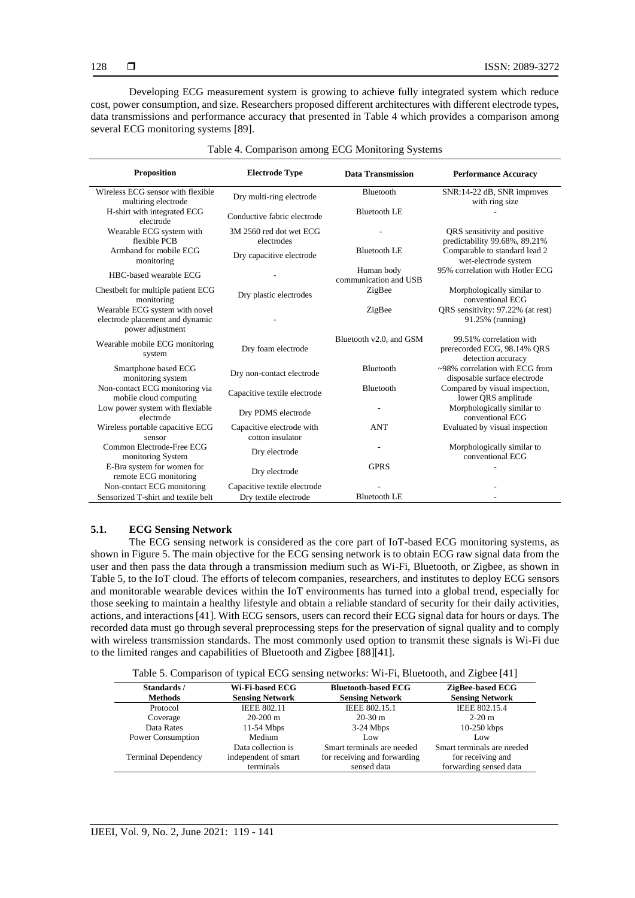| <b>Proposition</b>                                                                    | <b>Electrode Type</b>                         | <b>Data Transmission</b>            | <b>Performance Accuracy</b>                                                  |
|---------------------------------------------------------------------------------------|-----------------------------------------------|-------------------------------------|------------------------------------------------------------------------------|
| Wireless ECG sensor with flexible<br>multiring electrode                              | Dry multi-ring electrode                      | Bluetooth                           | SNR:14-22 dB, SNR improves<br>with ring size                                 |
| H-shirt with integrated ECG<br>electrode                                              | Conductive fabric electrode                   | <b>Bluetooth LE</b>                 |                                                                              |
| Wearable ECG system with<br>flexible PCB                                              | 3M 2560 red dot wet ECG<br>electrodes         |                                     | QRS sensitivity and positive<br>predictability 99.68%, 89.21%                |
| Armband for mobile ECG<br>monitoring                                                  | Dry capacitive electrode                      | <b>Bluetooth LE</b>                 | Comparable to standard lead 2<br>wet-electrode system                        |
| HBC-based wearable ECG                                                                |                                               | Human body<br>communication and USB | 95% correlation with Hotler ECG                                              |
| Chestbelt for multiple patient ECG<br>monitoring                                      | Dry plastic electrodes                        | ZigBee                              | Morphologically similar to<br>conventional ECG                               |
| Wearable ECG system with novel<br>electrode placement and dynamic<br>power adjustment |                                               | ZigBee                              | QRS sensitivity: 97.22% (at rest)<br>91.25% (running)                        |
| Wearable mobile ECG monitoring<br>system                                              | Dry foam electrode                            | Bluetooth v2.0, and GSM             | 99.51% correlation with<br>prerecorded ECG, 98.14% QRS<br>detection accuracy |
| Smartphone based ECG<br>monitoring system                                             | Dry non-contact electrode                     | Bluetooth                           | $\sim$ 98% correlation with ECG from<br>disposable surface electrode         |
| Non-contact ECG monitoring via<br>mobile cloud computing                              | Capacitive textile electrode                  | Bluetooth                           | Compared by visual inspection,<br>lower QRS amplitude                        |
| Low power system with flexiable<br>electrode                                          | Dry PDMS electrode                            |                                     | Morphologically similar to<br>conventional ECG                               |
| Wireless portable capacitive ECG<br>sensor                                            | Capacitive electrode with<br>cotton insulator | <b>ANT</b>                          | Evaluated by visual inspection                                               |
| Common Electrode-Free ECG<br>monitoring System                                        | Dry electrode                                 |                                     | Morphologically similar to<br>conventional ECG                               |
| E-Bra system for women for<br>remote ECG monitoring                                   | Dry electrode                                 | <b>GPRS</b>                         |                                                                              |
| Non-contact ECG monitoring                                                            | Capacitive textile electrode                  |                                     |                                                                              |
| Sensorized T-shirt and textile belt                                                   | Dry textile electrode                         | <b>Bluetooth LE</b>                 |                                                                              |

|  |  | Table 4. Comparison among ECG Monitoring Systems |  |  |
|--|--|--------------------------------------------------|--|--|
|--|--|--------------------------------------------------|--|--|

# **5.1. ECG Sensing Network**

The ECG sensing network is considered as the core part of IoT-based ECG monitoring systems, as shown in Figure 5. The main objective for the ECG sensing network is to obtain ECG raw signal data from the user and then pass the data through a transmission medium such as Wi-Fi, Bluetooth, or Zigbee, as shown in Table 5, to the IoT cloud. The efforts of telecom companies, researchers, and institutes to deploy ECG sensors and monitorable wearable devices within the IoT environments has turned into a global trend, especially for those seeking to maintain a healthy lifestyle and obtain a reliable standard of security for their daily activities, actions, and interaction[s \[41\].](#page-18-2) With ECG sensors, users can record their ECG signal data for hours or days. The recorded data must go through several preprocessing steps for the preservation of signal quality and to comply with wireless transmission standards. The most commonly used option to transmit these signals is Wi-Fi due to the limited ranges and capabilities of Bluetooth and Zigbee [\[88\]](#page-20-0)[\[41\].](#page-18-2)

Table 5. Comparison of typical ECG sensing networks: Wi-Fi, Bluetooth, and Zigbee [\[41\]](#page-18-2)

| Standards /<br><b>Methods</b> | Wi-Fi-based ECG<br><b>Sensing Network</b> | <b>Bluetooth-based ECG</b><br><b>Sensing Network</b> | ZigBee-based ECG<br><b>Sensing Network</b>  |
|-------------------------------|-------------------------------------------|------------------------------------------------------|---------------------------------------------|
| Protocol                      | <b>IEEE 802.11</b>                        | IEEE 802.15.1                                        | IEEE 802.15.4                               |
| Coverage                      | $20-200$ m                                | $20-30$ m                                            | $2-20$ m                                    |
| Data Rates                    | $11-54$ Mbps                              | $3-24$ Mbps                                          | $10-250$ kbps                               |
| Power Consumption             | Medium                                    | Low                                                  | Low                                         |
|                               | Data collection is                        | Smart terminals are needed                           | Smart terminals are needed                  |
| <b>Terminal Dependency</b>    | independent of smart<br>terminals         | for receiving and forwarding<br>sensed data          | for receiving and<br>forwarding sensed data |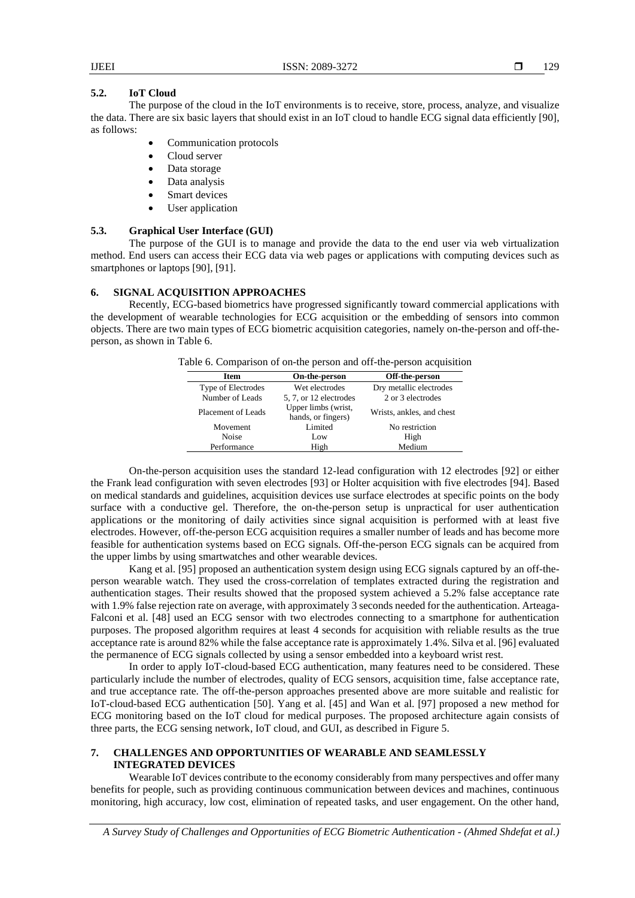# **5.2. IoT Cloud**

The purpose of the cloud in the IoT environments is to receive, store, process, analyze, and visualize the data. There are six basic layers that should exist in an IoT cloud to handle ECG signal data efficientl[y \[90\],](#page-20-2) as follows:

- Communication protocols
- Cloud server
- Data storage
- Data analysis
- Smart devices
- User application

# **5.3. Graphical User Interface (GUI)**

The purpose of the GUI is to manage and provide the data to the end user via web virtualization method. End users can access their ECG data via web pages or applications with computing devices such as smartphones or laptops [\[90\],](#page-20-2) [\[91\].](#page-20-3)

### **6. SIGNAL ACQUISITION APPROACHES**

Recently, ECG-based biometrics have progressed significantly toward commercial applications with the development of wearable technologies for ECG acquisition or the embedding of sensors into common objects. There are two main types of ECG biometric acquisition categories, namely on-the-person and off-theperson, as shown in Table 6.

| Table 6. Comparison of on-the person and off-the-person acquisition |  |  |  |
|---------------------------------------------------------------------|--|--|--|
|                                                                     |  |  |  |

| <b>Item</b>        | On-the-person                             | Off-the-person            |
|--------------------|-------------------------------------------|---------------------------|
| Type of Electrodes | Wet electrodes                            | Dry metallic electrodes   |
| Number of Leads    | 5, 7, or 12 electrodes                    | 2 or 3 electrodes         |
| Placement of Leads | Upper limbs (wrist,<br>hands, or fingers) | Wrists, ankles, and chest |
| Movement           | Limited                                   | No restriction            |
| Noise              | Low                                       | High                      |
| Performance        | High                                      | Medium                    |

On-the-person acquisition uses the standard 12-lead configuration with 12 electrodes [\[92\]](#page-20-4) or either the Frank lead configuration with seven electrodes [\[93\]](#page-20-5) or Holter acquisition with five electrodes [\[94\].](#page-20-6) Based on medical standards and guidelines, acquisition devices use surface electrodes at specific points on the body surface with a conductive gel. Therefore, the on-the-person setup is unpractical for user authentication applications or the monitoring of daily activities since signal acquisition is performed with at least five electrodes. However, off-the-person ECG acquisition requires a smaller number of leads and has become more feasible for authentication systems based on ECG signals. Off-the-person ECG signals can be acquired from the upper limbs by using smartwatches and other wearable devices.

Kang et al. [\[95\]](#page-20-7) proposed an authentication system design using ECG signals captured by an off-theperson wearable watch. They used the cross-correlation of templates extracted during the registration and authentication stages. Their results showed that the proposed system achieved a 5.2% false acceptance rate with 1.9% false rejection rate on average, with approximately 3 seconds needed for the authentication. Arteaga-Falconi et al. [\[48\]](#page-18-9) used an ECG sensor with two electrodes connecting to a smartphone for authentication purposes. The proposed algorithm requires at least 4 seconds for acquisition with reliable results as the true acceptance rate is around 82% while the false acceptance rate is approximately 1.4%. Silva et al[. \[96\]](#page-20-8) evaluated the permanence of ECG signals collected by using a sensor embedded into a keyboard wrist rest.

In order to apply IoT-cloud-based ECG authentication, many features need to be considered. These particularly include the number of electrodes, quality of ECG sensors, acquisition time, false acceptance rate, and true acceptance rate. The off-the-person approaches presented above are more suitable and realistic for IoT-cloud-based ECG authentication [\[50\].](#page-18-11) Yang et al. [\[45\]](#page-18-6) and Wan et al. [\[97\]](#page-20-9) proposed a new method for ECG monitoring based on the IoT cloud for medical purposes. The proposed architecture again consists of three parts, the ECG sensing network, IoT cloud, and GUI, as described in Figure 5.

# **7. CHALLENGES AND OPPORTUNITIES OF WEARABLE AND SEAMLESSLY INTEGRATED DEVICES**

Wearable IoT devices contribute to the economy considerably from many perspectives and offer many benefits for people, such as providing continuous communication between devices and machines, continuous monitoring, high accuracy, low cost, elimination of repeated tasks, and user engagement. On the other hand,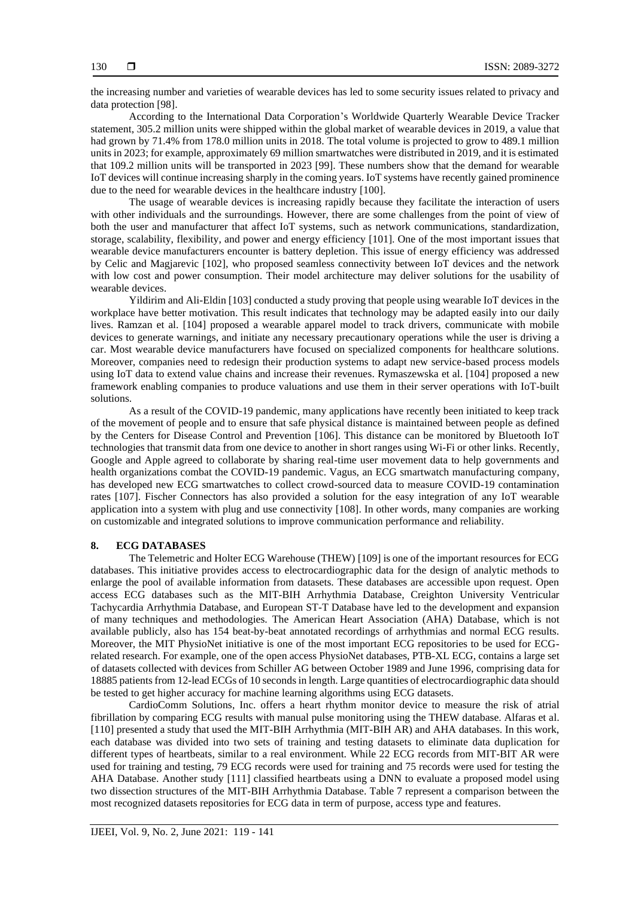the increasing number and varieties of wearable devices has led to some security issues related to privacy and data protection [\[98\].](#page-20-10)

According to the International Data Corporation's Worldwide Quarterly Wearable Device Tracker statement, 305.2 million units were shipped within the global market of wearable devices in 2019, a value that had grown by 71.4% from 178.0 million units in 2018. The total volume is projected to grow to 489.1 million units in 2023; for example, approximately 69 million smartwatches were distributed in 2019, and it is estimated that 109.2 million units will be transported in 2023 [\[99\].](#page-20-11) These numbers show that the demand for wearable IoT devices will continue increasing sharply in the coming years. IoT systems have recently gained prominence due to the need for wearable devices in the healthcare industry [\[100\].](#page-20-12)

The usage of wearable devices is increasing rapidly because they facilitate the interaction of users with other individuals and the surroundings. However, there are some challenges from the point of view of both the user and manufacturer that affect IoT systems, such as network communications, standardization, storage, scalability, flexibility, and power and energy efficiency [\[101\].](#page-20-13) One of the most important issues that wearable device manufacturers encounter is battery depletion. This issue of energy efficiency was addressed by Celic and Magjarevic [\[102\],](#page-20-14) who proposed seamless connectivity between IoT devices and the network with low cost and power consumption. Their model architecture may deliver solutions for the usability of wearable devices.

Yildirim and Ali-Eldin [\[103\]](#page-20-15) conducted a study proving that people using wearable IoT devices in the workplace have better motivation. This result indicates that technology may be adapted easily into our daily lives. Ramzan et al. [\[104\]](#page-20-16) proposed a wearable apparel model to track drivers, communicate with mobile devices to generate warnings, and initiate any necessary precautionary operations while the user is driving a car. Most wearable device manufacturers have focused on specialized components for healthcare solutions. Moreover, companies need to redesign their production systems to adapt new service-based process models using IoT data to extend value chains and increase their revenues. Rymaszewska et al[. \[104\]](#page-20-17) proposed a new framework enabling companies to produce valuations and use them in their server operations with IoT-built solutions.

As a result of the COVID-19 pandemic, many applications have recently been initiated to keep track of the movement of people and to ensure that safe physical distance is maintained between people as defined by the Centers for Disease Control and Prevention [\[106\].](#page-20-18) This distance can be monitored by Bluetooth IoT technologies that transmit data from one device to another in short ranges using Wi-Fi or other links. Recently, Google and Apple agreed to collaborate by sharing real-time user movement data to help governments and health organizations combat the COVID-19 pandemic. Vagus, an ECG smartwatch manufacturing company, has developed new ECG smartwatches to collect crowd-sourced data to measure COVID-19 contamination rates [\[107\].](#page-20-19) Fischer Connectors has also provided a solution for the easy integration of any IoT wearable application into a system with plug and use connectivit[y \[108\].](#page-20-20) In other words, many companies are working on customizable and integrated solutions to improve communication performance and reliability.

# **8. ECG DATABASES**

The Telemetric and Holter ECG Warehouse (THEW[\) \[109\]](#page-20-21) is one of the important resources for ECG databases. This initiative provides access to electrocardiographic data for the design of analytic methods to enlarge the pool of available information from datasets. These databases are accessible upon request. Open access ECG databases such as the MIT-BIH Arrhythmia Database, Creighton University Ventricular Tachycardia Arrhythmia Database, and European ST-T Database have led to the development and expansion of many techniques and methodologies. The American Heart Association (AHA) Database, which is not available publicly, also has 154 beat-by-beat annotated recordings of arrhythmias and normal ECG results. Moreover, the MIT PhysioNet initiative is one of the most important ECG repositories to be used for ECGrelated research. For example, one of the open access PhysioNet databases, PTB-XL ECG, contains a large set of datasets collected with devices from Schiller AG between October 1989 and June 1996, comprising data for 18885 patients from 12-lead ECGs of 10 seconds in length. Large quantities of electrocardiographic data should be tested to get higher accuracy for machine learning algorithms using ECG datasets.

CardioComm Solutions, Inc. offers a heart rhythm monitor device to measure the risk of atrial fibrillation by comparing ECG results with manual pulse monitoring using the THEW database. Alfaras et al. [\[110\]](#page-20-22) presented a study that used the MIT-BIH Arrhythmia (MIT-BIH AR) and AHA databases. In this work, each database was divided into two sets of training and testing datasets to eliminate data duplication for different types of heartbeats, similar to a real environment. While 22 ECG records from MIT-BIT AR were used for training and testing, 79 ECG records were used for training and 75 records were used for testing the AHA Database. Another study [\[111\]](#page-20-23) classified heartbeats using a DNN to evaluate a proposed model using two dissection structures of the MIT-BIH Arrhythmia Database. Table 7 represent a comparison between the most recognized datasets repositories for ECG data in term of purpose, access type and features.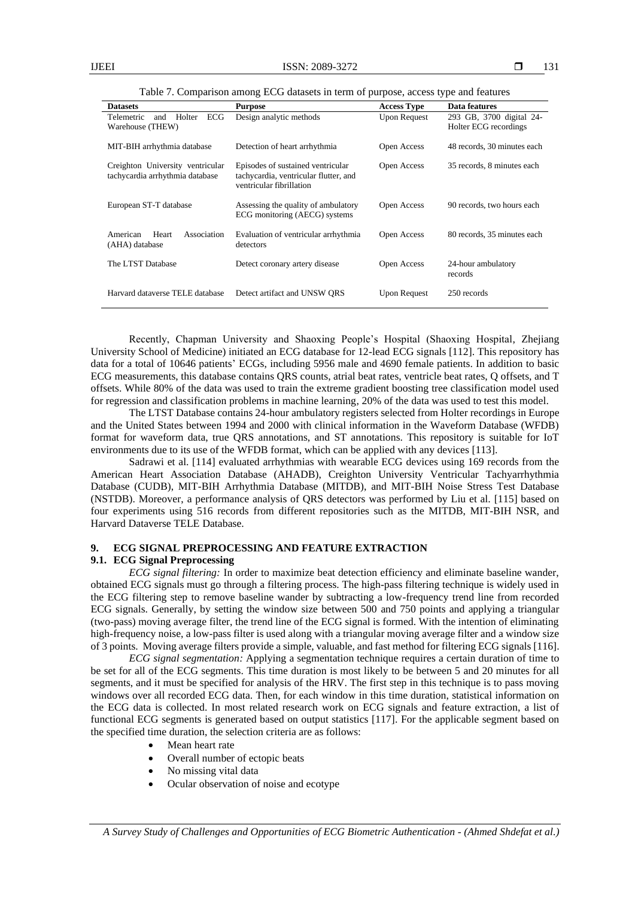| <b>Datasets</b>                                                     | <b>Purpose</b>                                                                                         | <b>Access Type</b>  | Data features                 |
|---------------------------------------------------------------------|--------------------------------------------------------------------------------------------------------|---------------------|-------------------------------|
| Telemetric<br><b>ECG</b><br>Holter<br>and                           | Design analytic methods                                                                                | <b>Upon Request</b> | 293 GB, 3700 digital 24-      |
| Warehouse (THEW)                                                    |                                                                                                        |                     | Holter ECG recordings         |
| MIT-BIH arrhythmia database                                         | Detection of heart arrhythmia                                                                          | Open Access         | 48 records, 30 minutes each   |
| Creighton University ventricular<br>tachycardia arrhythmia database | Episodes of sustained ventricular<br>tachycardia, ventricular flutter, and<br>ventricular fibrillation | Open Access         | 35 records, 8 minutes each    |
| European ST-T database                                              | Assessing the quality of ambulatory<br>ECG monitoring (AECG) systems                                   | Open Access         | 90 records, two hours each    |
| American<br>Heart<br>Association<br>(AHA) database                  | Evaluation of ventricular arrhythmia<br>detectors                                                      | Open Access         | 80 records, 35 minutes each   |
| The LTST Database                                                   | Detect coronary artery disease                                                                         | Open Access         | 24-hour ambulatory<br>records |
| Harvard dataverse TELE database                                     | Detect artifact and UNSW ORS                                                                           | Upon Request        | 250 records                   |

Table 7. Comparison among ECG datasets in term of purpose, access type and features

Recently, Chapman University and Shaoxing People's Hospital (Shaoxing Hospital, Zhejiang University School of Medicine) initiated an ECG database for 12-lead ECG signals [\[112\].](#page-20-24) This repository has data for a total of 10646 patients' ECGs, including 5956 male and 4690 female patients. In addition to basic ECG measurements, this database contains QRS counts, atrial beat rates, ventricle beat rates, Q offsets, and T offsets. While 80% of the data was used to train the extreme gradient boosting tree classification model used for regression and classification problems in machine learning, 20% of the data was used to test this model.

The LTST Database contains 24-hour ambulatory registers selected from Holter recordings in Europe and the United States between 1994 and 2000 with clinical information in the Waveform Database (WFDB) format for waveform data, true QRS annotations, and ST annotations. This repository is suitable for IoT environments due to its use of the WFDB format, which can be applied with any device[s \[113\].](#page-20-25)

Sadrawi et al. [\[114\]](#page-20-26) evaluated arrhythmias with wearable ECG devices using 169 records from the American Heart Association Database (AHADB), Creighton University Ventricular Tachyarrhythmia Database (CUDB), MIT-BIH Arrhythmia Database (MITDB), and MIT-BIH Noise Stress Test Database (NSTDB). Moreover, a performance analysis of QRS detectors was performed by Liu et al. [\[115\]](#page-21-0) based on four experiments using 516 records from different repositories such as the MITDB, MIT-BIH NSR, and Harvard Dataverse TELE Database.

#### **9. ECG SIGNAL PREPROCESSING AND FEATURE EXTRACTION 9.1. ECG Signal Preprocessing**

*ECG signal filtering:* In order to maximize beat detection efficiency and eliminate baseline wander, obtained ECG signals must go through a filtering process. The high-pass filtering technique is widely used in the ECG filtering step to remove baseline wander by subtracting a low-frequency trend line from recorded ECG signals. Generally, by setting the window size between 500 and 750 points and applying a triangular (two-pass) moving average filter, the trend line of the ECG signal is formed. With the intention of eliminating high-frequency noise, a low-pass filter is used along with a triangular moving average filter and a window size of 3 points. Moving average filters provide a simple, valuable, and fast method for filtering ECG signals [\[116\].](#page-21-1)

*ECG signal segmentation:* Applying a segmentation technique requires a certain duration of time to be set for all of the ECG segments. This time duration is most likely to be between 5 and 20 minutes for all segments, and it must be specified for analysis of the HRV. The first step in this technique is to pass moving windows over all recorded ECG data. Then, for each window in this time duration, statistical information on the ECG data is collected. In most related research work on ECG signals and feature extraction, a list of functional ECG segments is generated based on output statistics [\[117\].](#page-21-2) For the applicable segment based on the specified time duration, the selection criteria are as follows:

- Mean heart rate
- Overall number of ectopic beats
- No missing vital data
- Ocular observation of noise and ecotype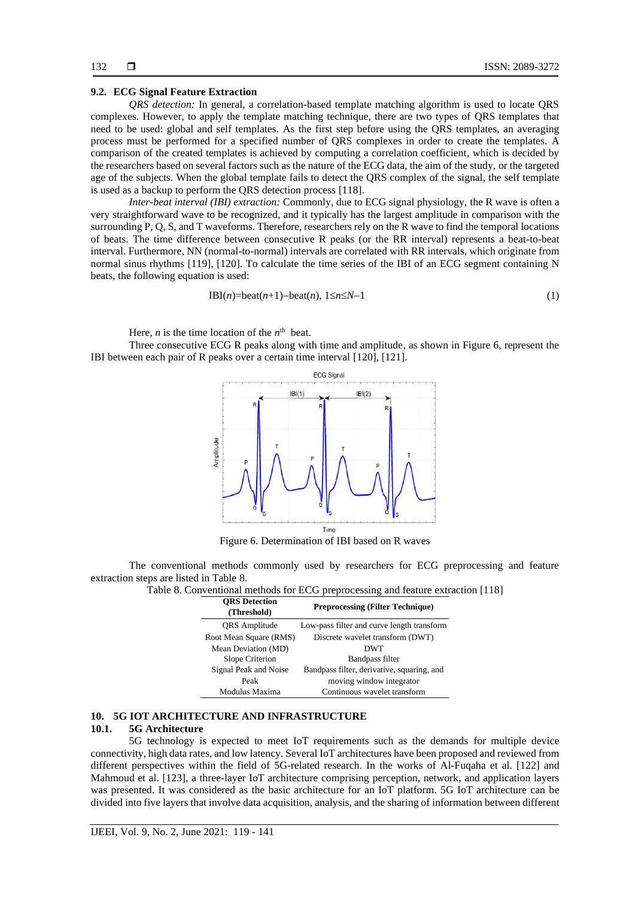# **9.2. ECG Signal Feature Extraction**

*QRS detection:* In general, a correlation-based template matching algorithm is used to locate QRS complexes. However, to apply the template matching technique, there are two types of QRS templates that need to be used: global and self templates. As the first step before using the QRS templates, an averaging process must be performed for a specified number of QRS complexes in order to create the templates. A comparison of the created templates is achieved by computing a correlation coefficient, which is decided by the researchers based on several factors such as the nature of the ECG data, the aim of the study, or the targeted age of the subjects. When the global template fails to detect the QRS complex of the signal, the self template is used as a backup to perform the QRS detection process [\[118\].](#page-21-3)

*Inter-beat interval (IBI) extraction:* Commonly, due to ECG signal physiology, the R wave is often a very straightforward wave to be recognized, and it typically has the largest amplitude in comparison with the surrounding P, Q, S, and T waveforms. Therefore, researchers rely on the R wave to find the temporal locations of beats. The time difference between consecutive R peaks (or the RR interval) represents a beat-to-beat interval. Furthermore, NN (normal-to-normal) intervals are correlated with RR intervals, which originate from normal sinus rhythms [\[119\],](#page-21-4) [\[120\].](#page-21-5) To calculate the time series of the IBI of an ECG segment containing N beats, the following equation is used:

IBI(n)=beat(n+1)-beat(n), 
$$
1 \le n \le N-1
$$
 (1)

Here, *n* is the time location of the  $n<sup>th</sup>$  beat.

Three consecutive ECG R peaks along with time and amplitude, as shown in Figure 6, represent the IBI between each pair of R peaks over a certain time interval [\[120\],](#page-21-5) [\[121\].](#page-21-6)



Figure 6. Determination of IBI based on R waves

The conventional methods commonly used by researchers for ECG preprocessing and feature extraction steps are listed in Table 8.

| Table 8. Conventional methods for ECG preprocessing and feature extraction [118] |  |  |
|----------------------------------------------------------------------------------|--|--|
|----------------------------------------------------------------------------------|--|--|

| <b>ORS</b> Detection<br>(Threshold) | <b>Preprocessing (Filter Technique)</b>    |
|-------------------------------------|--------------------------------------------|
| QRS Amplitude                       | Low-pass filter and curve length transform |
| Root Mean Square (RMS)              | Discrete wavelet transform (DWT)           |
| Mean Deviation (MD)                 | <b>DWT</b>                                 |
| Slope Criterion                     | Bandpass filter                            |
| Signal Peak and Noise               | Bandpass filter, derivative, squaring, and |
| Peak                                | moving window integrator                   |
| Modulus Maxima                      | Continuous wavelet transform               |

# **10. 5G IOT ARCHITECTURE AND INFRASTRUCTURE**

# **10.1. 5G Architecture**

5G technology is expected to meet IoT requirements such as the demands for multiple device connectivity, high data rates, and low latency. Several IoT architectures have been proposed and reviewed from different perspectives within the field of 5G-related research. In the works of Al-Fuqaha et al. [\[122\]](#page-21-7) and Mahmoud et al. [\[123\],](#page-21-8) a three-layer IoT architecture comprising perception, network, and application layers was presented. It was considered as the basic architecture for an IoT platform. 5G IoT architecture can be divided into five layers that involve data acquisition, analysis, and the sharing of information between different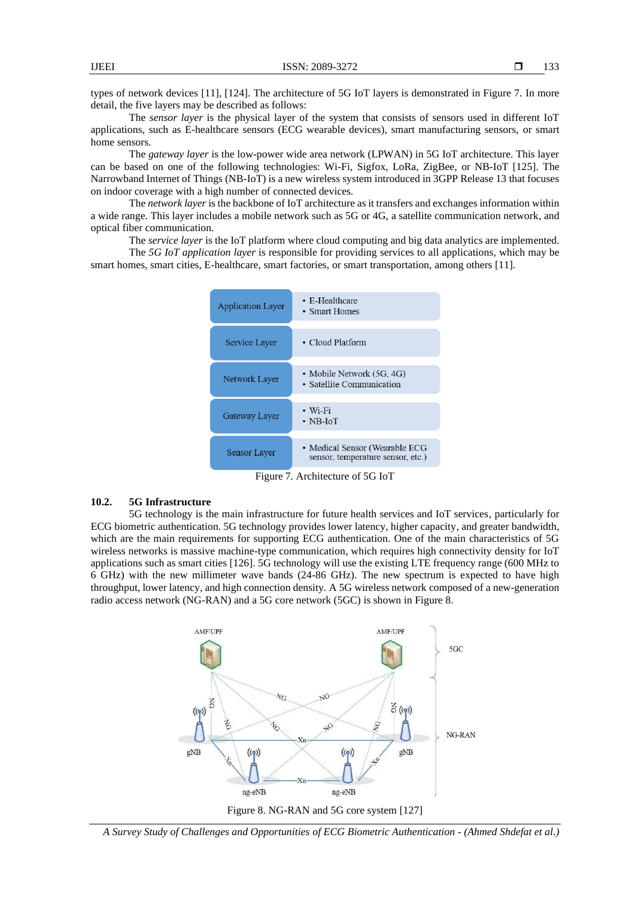types of network devices [\[11\],](#page-16-10) [\[124\].](#page-21-9) The architecture of 5G IoT layers is demonstrated in Figure 7. In more detail, the five layers may be described as follows:

The *sensor layer* is the physical layer of the system that consists of sensors used in different IoT applications, such as E-healthcare sensors (ECG wearable devices), smart manufacturing sensors, or smart home sensors.

The *gateway layer* is the low-power wide area network (LPWAN) in 5G IoT architecture. This layer can be based on one of the following technologies: Wi-Fi, Sigfox, LoRa, ZigBee, or NB-IoT [\[125\].](#page-21-10) The Narrowband Internet of Things (NB-IoT) is a new wireless system introduced in 3GPP Release 13 that focuses on indoor coverage with a high number of connected devices.

The *network layer* is the backbone of IoT architecture as it transfers and exchanges information within a wide range. This layer includes a mobile network such as 5G or 4G, a satellite communication network, and optical fiber communication.

The *service layer* is the IoT platform where cloud computing and big data analytics are implemented. The *5G IoT application layer* is responsible for providing services to all applications, which may be smart homes, smart cities, E-healthcare, smart factories, or smart transportation, among others [\[11\].](#page-16-10)



Figure 7. Architecture of 5G IoT

# **10.2. 5G Infrastructure**

5G technology is the main infrastructure for future health services and IoT services, particularly for ECG biometric authentication. 5G technology provides lower latency, higher capacity, and greater bandwidth, which are the main requirements for supporting ECG authentication. One of the main characteristics of 5G wireless networks is massive machine-type communication, which requires high connectivity density for IoT applications such as smart cities [\[126\].](#page-21-11) 5G technology will use the existing LTE frequency range (600 MHz to 6 GHz) with the new millimeter wave bands (24-86 GHz). The new spectrum is expected to have high throughput, lower latency, and high connection density. A 5G wireless network composed of a new-generation radio access network (NG-RAN) and a 5G core network (5GC) is shown in [Figure 8.](#page-14-0)



<span id="page-14-0"></span>*A Survey Study of Challenges and Opportunities of ECG Biometric Authentication - (Ahmed Shdefat et al.)*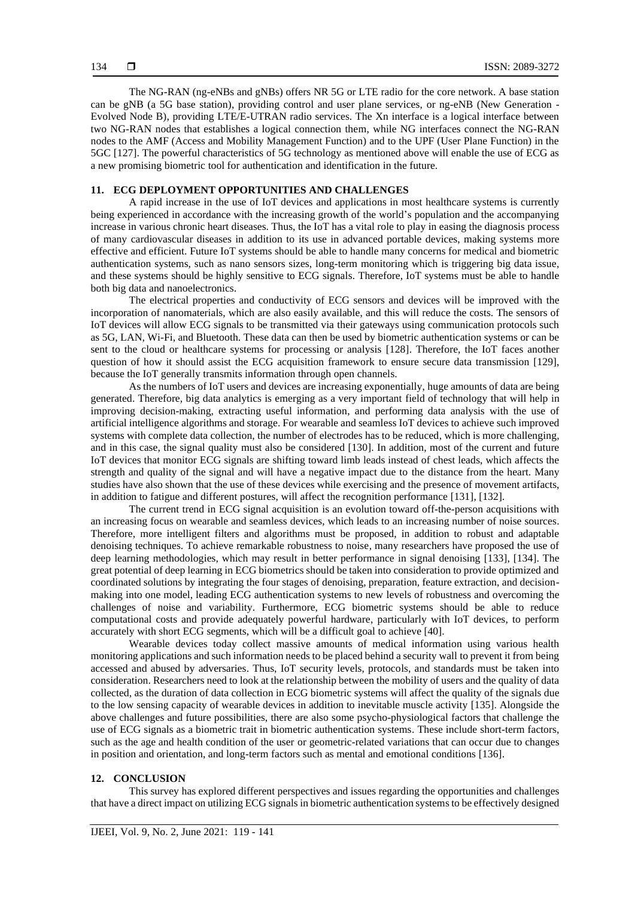The NG-RAN (ng-eNBs and gNBs) offers NR 5G or LTE radio for the core network. A base station can be gNB (a 5G base station), providing control and user plane services, or ng-eNB (New Generation - Evolved Node B), providing LTE/E-UTRAN radio services. The Xn interface is a logical interface between two NG-RAN nodes that establishes a logical connection them, while NG interfaces connect the NG-RAN nodes to the AMF (Access and Mobility Management Function) and to the UPF (User Plane Function) in the 5GC [\[127\].](#page-21-12) The powerful characteristics of 5G technology as mentioned above will enable the use of ECG as a new promising biometric tool for authentication and identification in the future.

# **11. ECG DEPLOYMENT OPPORTUNITIES AND CHALLENGES**

A rapid increase in the use of IoT devices and applications in most healthcare systems is currently being experienced in accordance with the increasing growth of the world's population and the accompanying increase in various chronic heart diseases. Thus, the IoT has a vital role to play in easing the diagnosis process of many cardiovascular diseases in addition to its use in advanced portable devices, making systems more effective and efficient. Future IoT systems should be able to handle many concerns for medical and biometric authentication systems, such as nano sensors sizes, long-term monitoring which is triggering big data issue, and these systems should be highly sensitive to ECG signals. Therefore, IoT systems must be able to handle both big data and nanoelectronics.

The electrical properties and conductivity of ECG sensors and devices will be improved with the incorporation of nanomaterials, which are also easily available, and this will reduce the costs. The sensors of IoT devices will allow ECG signals to be transmitted via their gateways using communication protocols such as 5G, LAN, Wi-Fi, and Bluetooth. These data can then be used by biometric authentication systems or can be sent to the cloud or healthcare systems for processing or analysis [\[128\].](#page-21-13) Therefore, the IoT faces another question of how it should assist the ECG acquisition framework to ensure secure data transmission [\[129\],](#page-21-14) because the IoT generally transmits information through open channels.

As the numbers of IoT users and devices are increasing exponentially, huge amounts of data are being generated. Therefore, big data analytics is emerging as a very important field of technology that will help in improving decision-making, extracting useful information, and performing data analysis with the use of artificial intelligence algorithms and storage. For wearable and seamless IoT devices to achieve such improved systems with complete data collection, the number of electrodes has to be reduced, which is more challenging, and in this case, the signal quality must also be considered [\[130\].](#page-21-15) In addition, most of the current and future IoT devices that monitor ECG signals are shifting toward limb leads instead of chest leads, which affects the strength and quality of the signal and will have a negative impact due to the distance from the heart. Many studies have also shown that the use of these devices while exercising and the presence of movement artifacts, in addition to fatigue and different postures, will affect the recognition performance [\[131\],](#page-21-16) [\[132\].](#page-21-17)

The current trend in ECG signal acquisition is an evolution toward off-the-person acquisitions with an increasing focus on wearable and seamless devices, which leads to an increasing number of noise sources. Therefore, more intelligent filters and algorithms must be proposed, in addition to robust and adaptable denoising techniques. To achieve remarkable robustness to noise, many researchers have proposed the use of deep learning methodologies, which may result in better performance in signal denoising [\[133\],](#page-21-18) [\[134\].](#page-21-19) The great potential of deep learning in ECG biometrics should be taken into consideration to provide optimized and coordinated solutions by integrating the four stages of denoising, preparation, feature extraction, and decisionmaking into one model, leading ECG authentication systems to new levels of robustness and overcoming the challenges of noise and variability. Furthermore, ECG biometric systems should be able to reduce computational costs and provide adequately powerful hardware, particularly with IoT devices, to perform accurately with short ECG segments, which will be a difficult goal to achiev[e \[40\].](#page-18-1)

Wearable devices today collect massive amounts of medical information using various health monitoring applications and such information needs to be placed behind a security wall to prevent it from being accessed and abused by adversaries. Thus, IoT security levels, protocols, and standards must be taken into consideration. Researchers need to look at the relationship between the mobility of users and the quality of data collected, as the duration of data collection in ECG biometric systems will affect the quality of the signals due to the low sensing capacity of wearable devices in addition to inevitable muscle activity [\[135\].](#page-21-20) Alongside the above challenges and future possibilities, there are also some psycho-physiological factors that challenge the use of ECG signals as a biometric trait in biometric authentication systems. These include short-term factors, such as the age and health condition of the user or geometric-related variations that can occur due to changes in position and orientation, and long-term factors such as mental and emotional conditions [\[136\].](#page-21-21)

# **12. CONCLUSION**

This survey has explored different perspectives and issues regarding the opportunities and challenges that have a direct impact on utilizing ECG signals in biometric authentication systemsto be effectively designed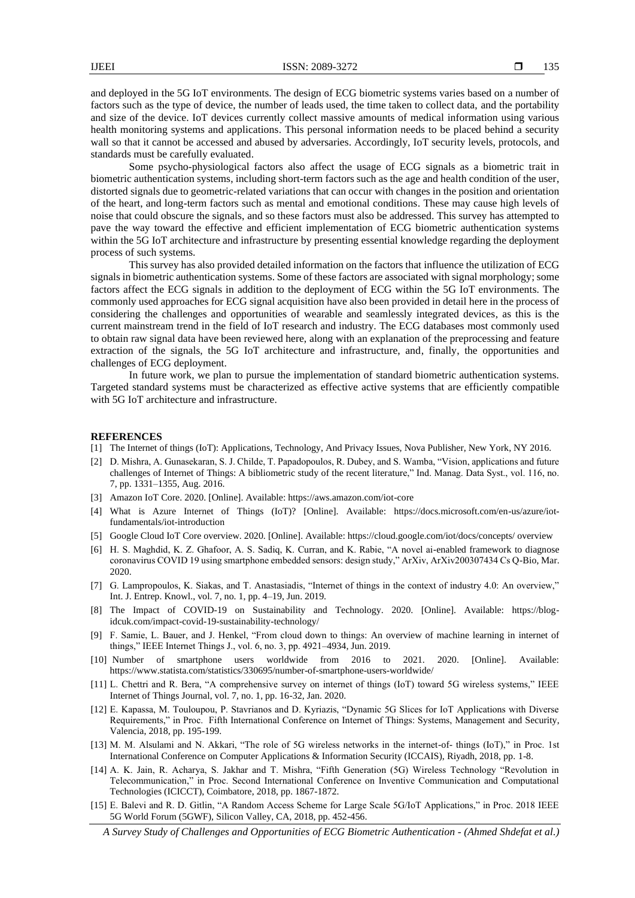and deployed in the 5G IoT environments. The design of ECG biometric systems varies based on a number of factors such as the type of device, the number of leads used, the time taken to collect data, and the portability and size of the device. IoT devices currently collect massive amounts of medical information using various health monitoring systems and applications. This personal information needs to be placed behind a security wall so that it cannot be accessed and abused by adversaries. Accordingly, IoT security levels, protocols, and standards must be carefully evaluated.

Some psycho-physiological factors also affect the usage of ECG signals as a biometric trait in biometric authentication systems, including short-term factors such as the age and health condition of the user, distorted signals due to geometric-related variations that can occur with changes in the position and orientation of the heart, and long-term factors such as mental and emotional conditions. These may cause high levels of noise that could obscure the signals, and so these factors must also be addressed. This survey has attempted to pave the way toward the effective and efficient implementation of ECG biometric authentication systems within the 5G IoT architecture and infrastructure by presenting essential knowledge regarding the deployment process of such systems.

This survey has also provided detailed information on the factors that influence the utilization of ECG signals in biometric authentication systems. Some of these factors are associated with signal morphology; some factors affect the ECG signals in addition to the deployment of ECG within the 5G IoT environments. The commonly used approaches for ECG signal acquisition have also been provided in detail here in the process of considering the challenges and opportunities of wearable and seamlessly integrated devices, as this is the current mainstream trend in the field of IoT research and industry. The ECG databases most commonly used to obtain raw signal data have been reviewed here, along with an explanation of the preprocessing and feature extraction of the signals, the 5G IoT architecture and infrastructure, and, finally, the opportunities and challenges of ECG deployment.

In future work, we plan to pursue the implementation of standard biometric authentication systems. Targeted standard systems must be characterized as effective active systems that are efficiently compatible with 5G IoT architecture and infrastructure.

#### **REFERENCES**

- <span id="page-16-0"></span>[1] The Internet of things (IoT): Applications, Technology, And Privacy Issues, Nova Publisher, New York, NY 2016.
- <span id="page-16-1"></span>[2] D. Mishra, A. Gunasekaran, S. J. Childe, T. Papadopoulos, R. Dubey, and S. Wamba, "Vision, applications and future challenges of Internet of Things: A bibliometric study of the recent literature," Ind. Manag. Data Syst., vol. 116, no. 7, pp. 1331–1355, Aug. 2016.
- <span id="page-16-2"></span>[3] Amazon IoT Core. 2020. [Online]. Available: https://aws.amazon.com/iot-core
- <span id="page-16-3"></span>[4] What is Azure Internet of Things (IoT)? [Online]. Available: https://docs.microsoft.com/en-us/azure/iotfundamentals/iot-introduction
- <span id="page-16-4"></span>[5] Google Cloud IoT Core overview. 2020. [Online]. Available: https://cloud.google.com/iot/docs/concepts/ overview
- <span id="page-16-5"></span>[6] H. S. Maghdid, K. Z. Ghafoor, A. S. Sadiq, K. Curran, and K. Rabie, "A novel ai-enabled framework to diagnose coronavirus COVID 19 using smartphone embedded sensors: design study," ArXiv, ArXiv200307434 Cs Q-Bio, Mar. 2020.
- <span id="page-16-6"></span>[7] G. Lampropoulos, K. Siakas, and T. Anastasiadis, "Internet of things in the context of industry 4.0: An overview," Int. J. Entrep. Knowl., vol. 7, no. 1, pp. 4–19, Jun. 2019.
- <span id="page-16-7"></span>[8] The Impact of COVID-19 on Sustainability and Technology. 2020. [Online]. Available: https://blogidcuk.com/impact-covid-19-sustainability-technology/
- <span id="page-16-8"></span>[9] F. Samie, L. Bauer, and J. Henkel, "From cloud down to things: An overview of machine learning in internet of things," IEEE Internet Things J., vol. 6, no. 3, pp. 4921–4934, Jun. 2019.
- <span id="page-16-9"></span>[10] Number of smartphone users worldwide from 2016 to 2021. 2020. [Online]. Available: <https://www.statista.com/statistics/330695/number-of-smartphone-users-worldwide/>
- <span id="page-16-10"></span>[11] L. Chettri and R. Bera, "A comprehensive survey on internet of things (IoT) toward 5G wireless systems," IEEE Internet of Things Journal, vol. 7, no. 1, pp. 16-32, Jan. 2020.
- <span id="page-16-11"></span>[12] E. Kapassa, M. Touloupou, P. Stavrianos and D. Kyriazis, "Dynamic 5G Slices for IoT Applications with Diverse Requirements," in Proc. Fifth International Conference on Internet of Things: Systems, Management and Security, Valencia, 2018, pp. 195-199.
- <span id="page-16-12"></span>[13] M. M. Alsulami and N. Akkari, "The role of 5G wireless networks in the internet-of- things (IoT)," in Proc. 1st International Conference on Computer Applications & Information Security (ICCAIS), Riyadh, 2018, pp. 1-8.
- <span id="page-16-13"></span>[14] A. K. Jain, R. Acharya, S. Jakhar and T. Mishra, "Fifth Generation (5G) Wireless Technology "Revolution in Telecommunication," in Proc. Second International Conference on Inventive Communication and Computational Technologies (ICICCT), Coimbatore, 2018, pp. 1867-1872.
- <span id="page-16-14"></span>[15] E. Balevi and R. D. Gitlin, "A Random Access Scheme for Large Scale 5G/IoT Applications," in Proc. 2018 IEEE 5G World Forum (5GWF), Silicon Valley, CA, 2018, pp. 452-456.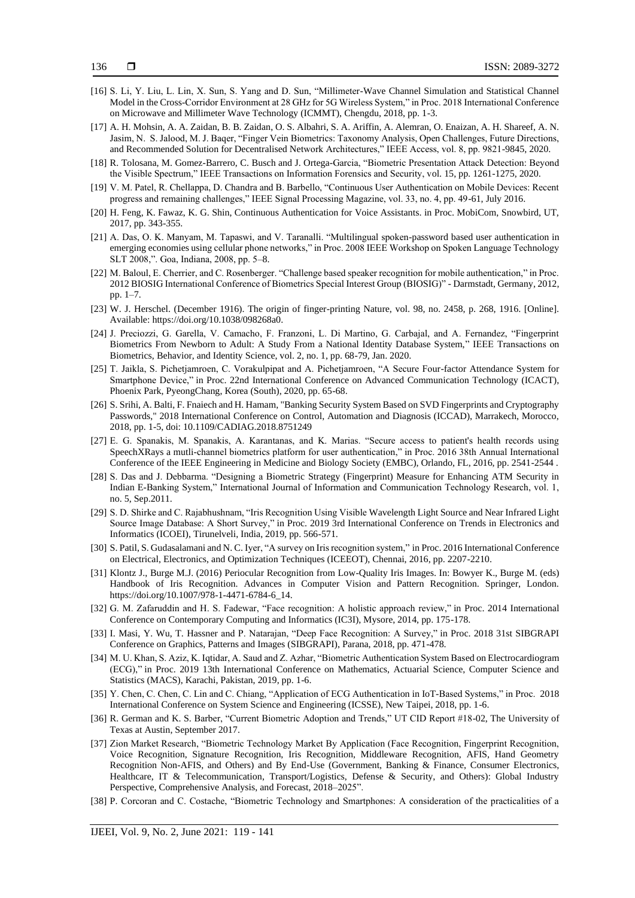- <span id="page-17-0"></span>[16] S. Li, Y. Liu, L. Lin, X. Sun, S. Yang and D. Sun, "Millimeter-Wave Channel Simulation and Statistical Channel Model in the Cross-Corridor Environment at 28 GHz for 5G Wireless System," in Proc. 2018 International Conference on Microwave and Millimeter Wave Technology (ICMMT), Chengdu, 2018, pp. 1-3.
- <span id="page-17-1"></span>[17] A. H. Mohsin, A. A. Zaidan, B. B. Zaidan, O. S. Albahri, S. A. Ariffin, A. Alemran, O. Enaizan, A. H. Shareef, A. N. Jasim, N. S. Jalood, M. J. Baqer, "Finger Vein Biometrics: Taxonomy Analysis, Open Challenges, Future Directions, and Recommended Solution for Decentralised Network Architectures," IEEE Access, vol. 8, pp. 9821-9845, 2020.
- <span id="page-17-2"></span>[18] R. Tolosana, M. Gomez-Barrero, C. Busch and J. Ortega-Garcia, "Biometric Presentation Attack Detection: Beyond the Visible Spectrum," IEEE Transactions on Information Forensics and Security, vol. 15, pp. 1261-1275, 2020.
- <span id="page-17-3"></span>[19] V. M. Patel, R. Chellappa, D. Chandra and B. Barbello, "Continuous User Authentication on Mobile Devices: Recent progress and remaining challenges," IEEE Signal Processing Magazine, vol. 33, no. 4, pp. 49-61, July 2016.
- <span id="page-17-4"></span>[20] H. Feng, K. Fawaz, K. G. Shin, Continuous Authentication for Voice Assistants. in Proc. MobiCom, Snowbird, UT, 2017, pp. 343-355.
- <span id="page-17-5"></span>[21] A. Das, O. K. Manyam, M. Tapaswi, and V. Taranalli. "Multilingual spoken-password based user authentication in emerging economies using cellular phone networks," in Proc. 2008 IEEE Workshop on Spoken Language Technology SLT 2008,". Goa, Indiana, 2008, pp. 5–8.
- <span id="page-17-6"></span>[22] M. Baloul, E. Cherrier, and C. Rosenberger. "Challenge based speaker recognition for mobile authentication," in Proc. 2012 BIOSIG International Conference of Biometrics Special Interest Group (BIOSIG)" - Darmstadt, Germany, 2012, pp. 1–7.
- <span id="page-17-7"></span>[23] W. J. Herschel. (December 1916). The origin of finger-printing Nature, vol. 98, no. 2458, p. 268, 1916. [Online]. Available: [https://doi.org/10.1038/098268a0.](https://doi.org/10.1038/098268a0)
- <span id="page-17-8"></span>[24] J. Preciozzi, G. Garella, V. Camacho, F. Franzoni, L. Di Martino, G. Carbajal, and A. Fernandez, "Fingerprint Biometrics From Newborn to Adult: A Study From a National Identity Database System," IEEE Transactions on Biometrics, Behavior, and Identity Science, vol. 2, no. 1, pp. 68-79, Jan. 2020.
- <span id="page-17-9"></span>[25] T. Jaikla, S. Pichetjamroen, C. Vorakulpipat and A. Pichetjamroen, "A Secure Four-factor Attendance System for Smartphone Device," in Proc. 22nd International Conference on Advanced Communication Technology (ICACT), Phoenix Park, PyeongChang, Korea (South), 2020, pp. 65-68.
- <span id="page-17-10"></span>[26] S. Srihi, A. Balti, F. Fnaiech and H. Hamam, "Banking Security System Based on SVD Fingerprints and Cryptography Passwords," 2018 International Conference on Control, Automation and Diagnosis (ICCAD), Marrakech, Morocco, 2018, pp. 1-5, doi: 10.1109/CADIAG.2018.8751249
- <span id="page-17-11"></span>[27] E. G. Spanakis, M. Spanakis, A. Karantanas, and K. Marias. "Secure access to patient's health records using SpeechXRays a mutli-channel biometrics platform for user authentication," in Proc. 2016 38th Annual International Conference of the IEEE Engineering in Medicine and Biology Society (EMBC), Orlando, FL, 2016, pp. 2541-2544 .
- <span id="page-17-12"></span>[28] S. Das and J. Debbarma. "Designing a Biometric Strategy (Fingerprint) Measure for Enhancing ATM Security in Indian E-Banking System," International Journal of Information and Communication Technology Research, vol. 1, no. 5, Sep.2011.
- <span id="page-17-13"></span>[29] S. D. Shirke and C. Rajabhushnam, "Iris Recognition Using Visible Wavelength Light Source and Near Infrared Light Source Image Database: A Short Survey," in Proc. 2019 3rd International Conference on Trends in Electronics and Informatics (ICOEI), Tirunelveli, India, 2019, pp. 566-571.
- <span id="page-17-14"></span>[30] S. Patil, S. Gudasalamani and N. C. Iyer, "A survey on Iris recognition system," in Proc. 2016 International Conference on Electrical, Electronics, and Optimization Techniques (ICEEOT), Chennai, 2016, pp. 2207-2210.
- <span id="page-17-15"></span>[31] Klontz J., Burge M.J. (2016) Periocular Recognition from Low-Quality Iris Images. In: Bowyer K., Burge M. (eds) Handbook of Iris Recognition. Advances in Computer Vision and Pattern Recognition. Springer, London. https://doi.org/10.1007/978-1-4471-6784-6\_14.
- <span id="page-17-16"></span>[32] G. M. Zafaruddin and H. S. Fadewar, "Face recognition: A holistic approach review," in Proc. 2014 International Conference on Contemporary Computing and Informatics (IC3I), Mysore, 2014, pp. 175-178.
- <span id="page-17-17"></span>[33] I. Masi, Y. Wu, T. Hassner and P. Natarajan, "Deep Face Recognition: A Survey," in Proc. 2018 31st SIBGRAPI Conference on Graphics, Patterns and Images (SIBGRAPI), Parana, 2018, pp. 471-478.
- <span id="page-17-18"></span>[34] M. U. Khan, S. Aziz, K. Iqtidar, A. Saud and Z. Azhar, "Biometric Authentication System Based on Electrocardiogram (ECG)," in Proc. 2019 13th International Conference on Mathematics, Actuarial Science, Computer Science and Statistics (MACS), Karachi, Pakistan, 2019, pp. 1-6.
- <span id="page-17-19"></span>[35] Y. Chen, C. Chen, C. Lin and C. Chiang, "Application of ECG Authentication in IoT-Based Systems," in Proc. 2018 International Conference on System Science and Engineering (ICSSE), New Taipei, 2018, pp. 1-6.
- <span id="page-17-20"></span>[36] R. German and K. S. Barber, "Current Biometric Adoption and Trends," UT CID Report #18-02, The University of Texas at Austin, September 2017.
- <span id="page-17-21"></span>[37] Zion Market Research, "Biometric Technology Market By Application (Face Recognition, Fingerprint Recognition, Voice Recognition, Signature Recognition, Iris Recognition, Middleware Recognition, AFIS, Hand Geometry Recognition Non-AFIS, and Others) and By End-Use (Government, Banking & Finance, Consumer Electronics, Healthcare, IT & Telecommunication, Transport/Logistics, Defense & Security, and Others): Global Industry Perspective, Comprehensive Analysis, and Forecast, 2018–2025".
- <span id="page-17-22"></span>[38] P. Corcoran and C. Costache, "Biometric Technology and Smartphones: A consideration of the practicalities of a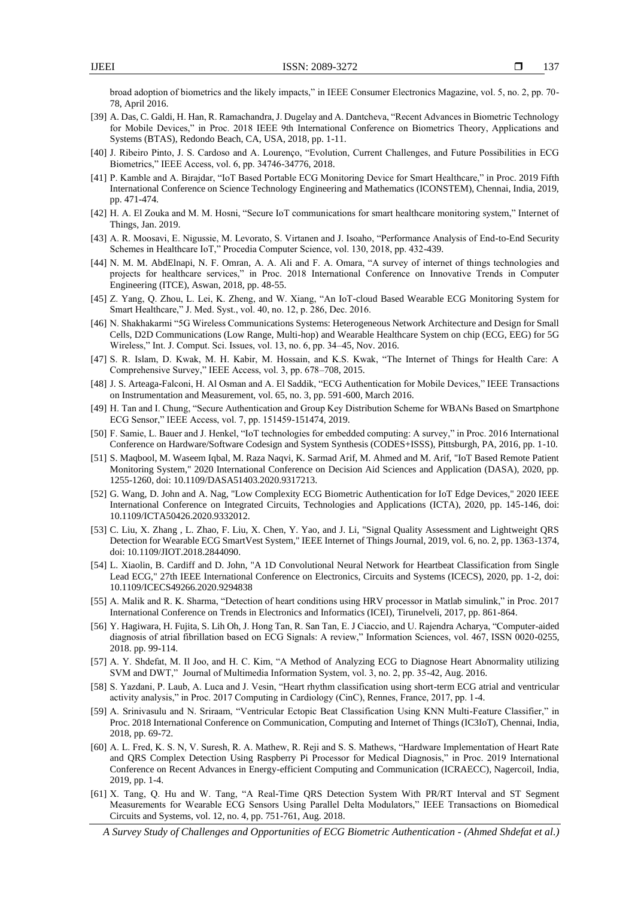broad adoption of biometrics and the likely impacts," in IEEE Consumer Electronics Magazine, vol. 5, no. 2, pp. 70- 78, April 2016.

- <span id="page-18-0"></span>[39] A. Das, C. Galdi, H. Han, R. Ramachandra, J. Dugelay and A. Dantcheva, "Recent Advances in Biometric Technology for Mobile Devices," in Proc. 2018 IEEE 9th International Conference on Biometrics Theory, Applications and Systems (BTAS), Redondo Beach, CA, USA, 2018, pp. 1-11.
- <span id="page-18-1"></span>[40] J. Ribeiro Pinto, J. S. Cardoso and A. Lourenço, "Evolution, Current Challenges, and Future Possibilities in ECG Biometrics," IEEE Access, vol. 6, pp. 34746-34776, 2018.
- <span id="page-18-2"></span>[41] P. Kamble and A. Birajdar, "IoT Based Portable ECG Monitoring Device for Smart Healthcare," in Proc. 2019 Fifth International Conference on Science Technology Engineering and Mathematics (ICONSTEM), Chennai, India, 2019, pp. 471-474.
- <span id="page-18-3"></span>[42] H. A. El Zouka and M. M. Hosni, "Secure IoT communications for smart healthcare monitoring system," Internet of Things, Jan. 2019.
- <span id="page-18-4"></span>[43] A. R. Moosavi, E. Nigussie, M. Levorato, S. Virtanen and J. Isoaho, "Performance Analysis of End-to-End Security Schemes in Healthcare IoT," Procedia Computer Science, vol. 130, 2018, pp. 432-439.
- <span id="page-18-5"></span>[44] N. M. M. AbdElnapi, N. F. Omran, A. A. Ali and F. A. Omara, "A survey of internet of things technologies and projects for healthcare services," in Proc. 2018 International Conference on Innovative Trends in Computer Engineering (ITCE), Aswan, 2018, pp. 48-55.
- <span id="page-18-6"></span>[45] Z. Yang, Q. Zhou, L. Lei, K. Zheng, and W. Xiang, "An IoT-cloud Based Wearable ECG Monitoring System for Smart Healthcare," J. Med. Syst., vol. 40, no. 12, p. 286, Dec. 2016.
- <span id="page-18-7"></span>[46] N. Shakhakarmi "5G Wireless Communications Systems: Heterogeneous Network Architecture and Design for Small Cells, D2D Communications (Low Range, Multi-hop) and Wearable Healthcare System on chip (ECG, EEG) for 5G Wireless," Int. J. Comput. Sci. Issues, vol. 13, no. 6, pp. 34–45, Nov. 2016.
- <span id="page-18-8"></span>[47] S. R. Islam, D. Kwak, M. H. Kabir, M. Hossain, and K.S. Kwak, "The Internet of Things for Health Care: A Comprehensive Survey," IEEE Access, vol. 3, pp. 678–708, 2015.
- <span id="page-18-9"></span>[48] J. S. Arteaga-Falconi, H. Al Osman and A. El Saddik, "ECG Authentication for Mobile Devices," IEEE Transactions on Instrumentation and Measurement, vol. 65, no. 3, pp. 591-600, March 2016.
- <span id="page-18-10"></span>[49] H. Tan and I. Chung, "Secure Authentication and Group Key Distribution Scheme for WBANs Based on Smartphone ECG Sensor," IEEE Access, vol. 7, pp. 151459-151474, 2019.
- <span id="page-18-11"></span>[50] F. Samie, L. Bauer and J. Henkel, "IoT technologies for embedded computing: A survey," in Proc. 2016 International Conference on Hardware/Software Codesign and System Synthesis (CODES+ISSS), Pittsburgh, PA, 2016, pp. 1-10.
- <span id="page-18-12"></span>[51] S. Maqbool, M. Waseem Iqbal, M. Raza Naqvi, K. Sarmad Arif, M. Ahmed and M. Arif, "IoT Based Remote Patient Monitoring System," 2020 International Conference on Decision Aid Sciences and Application (DASA), 2020, pp. 1255-1260, doi: 10.1109/DASA51403.2020.9317213.
- <span id="page-18-13"></span>[52] G. Wang, D. John and A. Nag, "Low Complexity ECG Biometric Authentication for IoT Edge Devices," 2020 IEEE International Conference on Integrated Circuits, Technologies and Applications (ICTA), 2020, pp. 145-146, doi: 10.1109/ICTA50426.2020.9332012.
- <span id="page-18-14"></span>[53] C. Liu, X. Zhang , L. Zhao, F. Liu, X. Chen, Y. Yao, and J. Li, "Signal Quality Assessment and Lightweight QRS Detection for Wearable ECG SmartVest System," IEEE Internet of Things Journal, 2019, vol. 6, no. 2, pp. 1363-1374, doi: 10.1109/JIOT.2018.2844090.
- <span id="page-18-15"></span>[54] L. Xiaolin, B. Cardiff and D. John, "A 1D Convolutional Neural Network for Heartbeat Classification from Single Lead ECG," 27th IEEE International Conference on Electronics, Circuits and Systems (ICECS), 2020, pp. 1-2, doi: 10.1109/ICECS49266.2020.9294838
- <span id="page-18-16"></span>[55] A. Malik and R. K. Sharma, "Detection of heart conditions using HRV processor in Matlab simulink," in Proc. 2017 International Conference on Trends in Electronics and Informatics (ICEI), Tirunelveli, 2017, pp. 861-864.
- <span id="page-18-17"></span>[56] Y. Hagiwara, H. Fujita, S. Lih Oh, J. Hong Tan, R. San Tan, E. J Ciaccio, and U. Rajendra Acharya, "Computer-aided diagnosis of atrial fibrillation based on ECG Signals: A review," Information Sciences, vol. 467, ISSN 0020-0255, 2018. pp. 99-114.
- <span id="page-18-18"></span>[57] A. Y. Shdefat, M. Il Joo, and H. C. Kim, "A Method of Analyzing ECG to Diagnose Heart Abnormality utilizing SVM and DWT," Journal of Multimedia Information System, vol. 3, no. 2, pp. 35-42, Aug. 2016.
- <span id="page-18-19"></span>[58] S. Yazdani, P. Laub, A. Luca and J. Vesin, "Heart rhythm classification using short-term ECG atrial and ventricular activity analysis," in Proc. 2017 Computing in Cardiology (CinC), Rennes, France, 2017, pp. 1-4.
- <span id="page-18-20"></span>[59] A. Srinivasulu and N. Sriraam, "Ventricular Ectopic Beat Classification Using KNN Multi-Feature Classifier," in Proc. 2018 International Conference on Communication, Computing and Internet of Things (IC3IoT), Chennai, India, 2018, pp. 69-72.
- <span id="page-18-21"></span>[60] A. L. Fred, K. S. N, V. Suresh, R. A. Mathew, R. Reji and S. S. Mathews, "Hardware Implementation of Heart Rate and QRS Complex Detection Using Raspberry Pi Processor for Medical Diagnosis," in Proc. 2019 International Conference on Recent Advances in Energy-efficient Computing and Communication (ICRAECC), Nagercoil, India, 2019, pp. 1-4.
- <span id="page-18-22"></span>[61] X. Tang, Q. Hu and W. Tang, "A Real-Time QRS Detection System With PR/RT Interval and ST Segment Measurements for Wearable ECG Sensors Using Parallel Delta Modulators," IEEE Transactions on Biomedical Circuits and Systems, vol. 12, no. 4, pp. 751-761, Aug. 2018.

*A Survey Study of Challenges and Opportunities of ECG Biometric Authentication - (Ahmed Shdefat et al.)*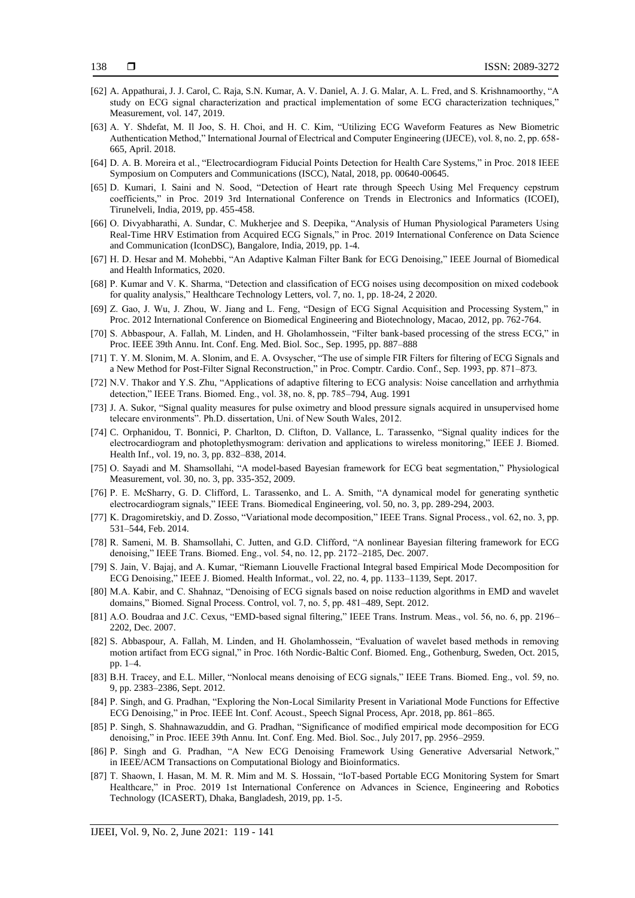138

- <span id="page-19-0"></span>[62] A. Appathurai, J. J. Carol, C. Raja, S.N. Kumar, A. V. Daniel, A. J. G. Malar, A. L. Fred, and S. Krishnamoorthy, "A study on ECG signal characterization and practical implementation of some ECG characterization techniques," Measurement, vol. 147, 2019.
- <span id="page-19-1"></span>[63] A. Y. Shdefat, M. Il Joo, S. H. Choi, and H. C. Kim, "Utilizing ECG Waveform Features as New Biometric Authentication Method," International Journal of Electrical and Computer Engineering (IJECE), vol. 8, no. 2, pp. 658- 665, April. 2018.
- <span id="page-19-2"></span>[64] D. A. B. Moreira et al., "Electrocardiogram Fiducial Points Detection for Health Care Systems," in Proc. 2018 IEEE Symposium on Computers and Communications (ISCC), Natal, 2018, pp. 00640-00645.
- <span id="page-19-3"></span>[65] D. Kumari, I. Saini and N. Sood, "Detection of Heart rate through Speech Using Mel Frequency cepstrum coefficients," in Proc. 2019 3rd International Conference on Trends in Electronics and Informatics (ICOEI), Tirunelveli, India, 2019, pp. 455-458.
- <span id="page-19-4"></span>[66] O. Divyabharathi, A. Sundar, C. Mukherjee and S. Deepika, "Analysis of Human Physiological Parameters Using Real-Time HRV Estimation from Acquired ECG Signals," in Proc. 2019 International Conference on Data Science and Communication (IconDSC), Bangalore, India, 2019, pp. 1-4.
- <span id="page-19-5"></span>[67] H. D. Hesar and M. Mohebbi, "An Adaptive Kalman Filter Bank for ECG Denoising," IEEE Journal of Biomedical and Health Informatics, 2020.
- <span id="page-19-6"></span>[68] P. Kumar and V. K. Sharma, "Detection and classification of ECG noises using decomposition on mixed codebook for quality analysis," Healthcare Technology Letters, vol. 7, no. 1, pp. 18-24, 2 2020.
- <span id="page-19-7"></span>[69] Z. Gao, J. Wu, J. Zhou, W. Jiang and L. Feng, "Design of ECG Signal Acquisition and Processing System," in Proc. 2012 International Conference on Biomedical Engineering and Biotechnology, Macao, 2012, pp. 762-764.
- <span id="page-19-8"></span>[70] S. Abbaspour, A. Fallah, M. Linden, and H. Gholamhossein, "Filter bank-based processing of the stress ECG," in Proc. IEEE 39th Annu. Int. Conf. Eng. Med. Biol. Soc., Sep. 1995, pp. 887–888
- <span id="page-19-9"></span>[71] T. Y. M. Slonim, M. A. Slonim, and E. A. Ovsyscher, "The use of simple FIR Filters for filtering of ECG Signals and a New Method for Post-Filter Signal Reconstruction," in Proc. Comptr. Cardio. Conf., Sep. 1993, pp. 871–873.
- <span id="page-19-10"></span>[72] N.V. Thakor and Y.S. Zhu, "Applications of adaptive filtering to ECG analysis: Noise cancellation and arrhythmia detection," IEEE Trans. Biomed. Eng., vol. 38, no. 8, pp. 785–794, Aug. 1991
- <span id="page-19-11"></span>[73] J. A. Sukor, "Signal quality measures for pulse oximetry and blood pressure signals acquired in unsupervised home telecare environments". Ph.D. dissertation, Uni. of New South Wales, 2012.
- <span id="page-19-12"></span>[74] C. Orphanidou, T. Bonnici, P. Charlton, D. Clifton, D. Vallance, L. Tarassenko, "Signal quality indices for the electrocardiogram and photoplethysmogram: derivation and applications to wireless monitoring," IEEE J. Biomed. Health Inf., vol. 19, no. 3, pp. 832–838, 2014.
- <span id="page-19-13"></span>[75] O. Sayadi and M. Shamsollahi, "A model-based Bayesian framework for ECG beat segmentation," Physiological Measurement, vol. 30, no. 3, pp. 335-352, 2009.
- <span id="page-19-14"></span>[76] P. E. McSharry, G. D. Clifford, L. Tarassenko, and L. A. Smith, "A dynamical model for generating synthetic electrocardiogram signals," IEEE Trans. Biomedical Engineering, vol. 50, no. 3, pp. 289-294, 2003.
- <span id="page-19-15"></span>[77] K. Dragomiretskiy, and D. Zosso, "Variational mode decomposition," IEEE Trans. Signal Process., vol. 62, no. 3, pp. 531–544, Feb. 2014.
- <span id="page-19-16"></span>[78] R. Sameni, M. B. Shamsollahi, C. Jutten, and G.D. Clifford, "A nonlinear Bayesian filtering framework for ECG denoising," IEEE Trans. Biomed. Eng., vol. 54, no. 12, pp. 2172–2185, Dec. 2007.
- [79] S. Jain, V. Bajaj, and A. Kumar, "Riemann Liouvelle Fractional Integral based Empirical Mode Decomposition for ECG Denoising," IEEE J. Biomed. Health Informat., vol. 22, no. 4, pp. 1133–1139, Sept. 2017.
- [80] M.A. Kabir, and C. Shahnaz, "Denoising of ECG signals based on noise reduction algorithms in EMD and wavelet domains," Biomed. Signal Process. Control, vol. 7, no. 5, pp. 481–489, Sept. 2012.
- [81] A.O. Boudraa and J.C. Cexus, "EMD-based signal filtering," IEEE Trans. Instrum. Meas., vol. 56, no. 6, pp. 2196– 2202, Dec. 2007.
- <span id="page-19-17"></span>[82] S. Abbaspour, A. Fallah, M. Linden, and H. Gholamhossein, "Evaluation of wavelet based methods in removing motion artifact from ECG signal," in Proc. 16th Nordic-Baltic Conf. Biomed. Eng., Gothenburg, Sweden, Oct. 2015, pp. 1–4.
- <span id="page-19-18"></span>[83] B.H. Tracey, and E.L. Miller, "Nonlocal means denoising of ECG signals," IEEE Trans. Biomed. Eng., vol. 59, no. 9, pp. 2383–2386, Sept. 2012.
- [84] P. Singh, and G. Pradhan, "Exploring the Non-Local Similarity Present in Variational Mode Functions for Effective ECG Denoising," in Proc. IEEE Int. Conf. Acoust., Speech Signal Process, Apr. 2018, pp. 861–865.
- <span id="page-19-19"></span>[85] P. Singh, S. Shahnawazuddin, and G. Pradhan, "Significance of modified empirical mode decomposition for ECG denoising," in Proc. IEEE 39th Annu. Int. Conf. Eng. Med. Biol. Soc., July 2017, pp. 2956–2959.
- <span id="page-19-20"></span>[86] P. Singh and G. Pradhan, "A New ECG Denoising Framework Using Generative Adversarial Network," in IEEE/ACM Transactions on Computational Biology and Bioinformatics.
- <span id="page-19-21"></span>[87] T. Shaown, I. Hasan, M. M. R. Mim and M. S. Hossain, "IoT-based Portable ECG Monitoring System for Smart Healthcare," in Proc. 2019 1st International Conference on Advances in Science, Engineering and Robotics Technology (ICASERT), Dhaka, Bangladesh, 2019, pp. 1-5.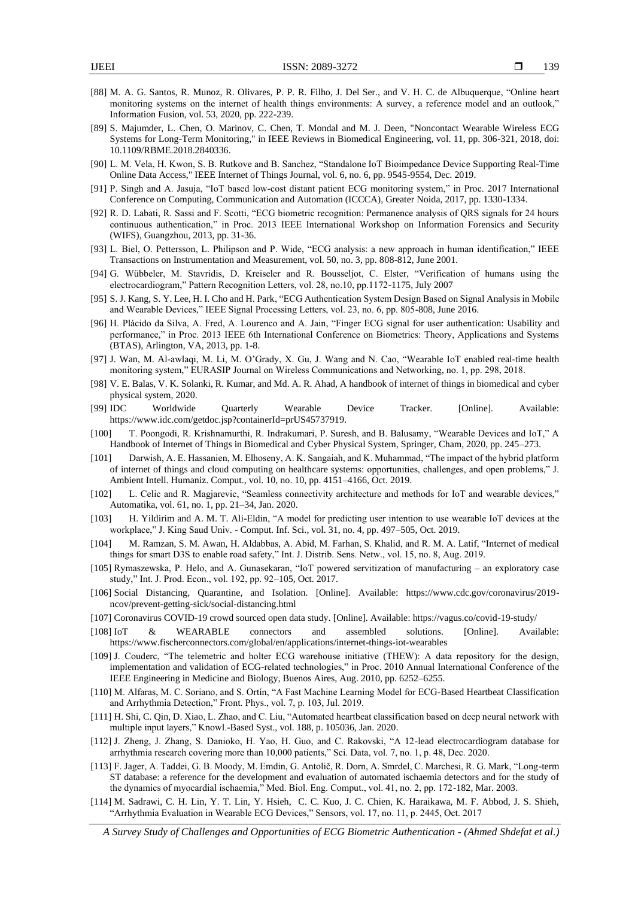- <span id="page-20-0"></span>[88] M. A. G. Santos, R. Munoz, R. Olivares, P. P. R. Filho, J. Del Ser., and V. H. C. de Albuquerque, "Online heart monitoring systems on the internet of health things environments: A survey, a reference model and an outlook," Information Fusion, vol. 53, 2020, pp. 222-239.
- <span id="page-20-1"></span>[89] S. Majumder, L. Chen, O. Marinov, C. Chen, T. Mondal and M. J. Deen, "Noncontact Wearable Wireless ECG Systems for Long-Term Monitoring," in IEEE Reviews in Biomedical Engineering, vol. 11, pp. 306-321, 2018, doi: 10.1109/RBME.2018.2840336.
- <span id="page-20-2"></span>[90] L. M. Vela, H. Kwon, S. B. Rutkove and B. Sanchez, "Standalone IoT Bioimpedance Device Supporting Real-Time Online Data Access," IEEE Internet of Things Journal, vol. 6, no. 6, pp. 9545-9554, Dec. 2019.
- <span id="page-20-3"></span>[91] P. Singh and A. Jasuja, "IoT based low-cost distant patient ECG monitoring system," in Proc. 2017 International Conference on Computing, Communication and Automation (ICCCA), Greater Noida, 2017, pp. 1330-1334.
- <span id="page-20-4"></span>[92] R. D. Labati, R. Sassi and F. Scotti, "ECG biometric recognition: Permanence analysis of QRS signals for 24 hours continuous authentication," in Proc. 2013 IEEE International Workshop on Information Forensics and Security (WIFS), Guangzhou, 2013, pp. 31-36.
- <span id="page-20-5"></span>[93] L. Biel, O. Pettersson, L. Philipson and P. Wide, "ECG analysis: a new approach in human identification," IEEE Transactions on Instrumentation and Measurement, vol. 50, no. 3, pp. 808-812, June 2001.
- <span id="page-20-6"></span>[94] G. Wübbeler, M. Stavridis, D. Kreiseler and R. Bousseljot, C. Elster, "Verification of humans using the electrocardiogram," Pattern Recognition Letters, vol. 28, no.10, pp.1172-1175, July 2007
- <span id="page-20-7"></span>[95] S. J. Kang, S. Y. Lee, H. I. Cho and H. Park, "ECG Authentication System Design Based on Signal Analysis in Mobile and Wearable Devices," IEEE Signal Processing Letters, vol. 23, no. 6, pp. 805-808, June 2016.
- <span id="page-20-8"></span>[96] H. Plácido da Silva, A. Fred, A. Lourenco and A. Jain, "Finger ECG signal for user authentication: Usability and performance," in Proc. 2013 IEEE 6th International Conference on Biometrics: Theory, Applications and Systems (BTAS), Arlington, VA, 2013, pp. 1-8.
- <span id="page-20-9"></span>[97] J. Wan, M. Al-awlaqi, M. Li, M. O'Grady, X. Gu, J. Wang and N. Cao, "Wearable IoT enabled real-time health monitoring system," EURASIP Journal on Wireless Communications and Networking, no. 1, pp. 298, 2018.
- <span id="page-20-10"></span>[98] V. E. Balas, V. K. Solanki, R. Kumar, and Md. A. R. Ahad, A handbook of internet of things in biomedical and cyber physical system, 2020.
- <span id="page-20-11"></span>[99] IDC Worldwide Quarterly Wearable Device Tracker. [Online]. Available: https://www.idc.com/getdoc.jsp?containerId=prUS45737919.
- <span id="page-20-12"></span>[100] T. Poongodi, R. Krishnamurthi, R. Indrakumari, P. Suresh, and B. Balusamy, "Wearable Devices and IoT," A Handbook of Internet of Things in Biomedical and Cyber Physical System, Springer, Cham, 2020, pp. 245–273.
- <span id="page-20-13"></span>[101] Darwish, A. E. Hassanien, M. Elhoseny, A. K. Sangaiah, and K. Muhammad, "The impact of the hybrid platform of internet of things and cloud computing on healthcare systems: opportunities, challenges, and open problems," J. Ambient Intell. Humaniz. Comput., vol. 10, no. 10, pp. 4151–4166, Oct. 2019.
- <span id="page-20-14"></span>[102] L. Celic and R. Magjarevic, "Seamless connectivity architecture and methods for IoT and wearable devices," Automatika, vol. 61, no. 1, pp. 21–34, Jan. 2020.
- <span id="page-20-15"></span>[103] H. Yildirim and A. M. T. Ali-Eldin, "A model for predicting user intention to use wearable IoT devices at the workplace," J. King Saud Univ. - Comput. Inf. Sci., vol. 31, no. 4, pp. 497–505, Oct. 2019.
- <span id="page-20-17"></span><span id="page-20-16"></span>[104] M. Ramzan, S. M. Awan, H. Aldabbas, A. Abid, M. Farhan, S. Khalid, and R. M. A. Latif, "Internet of medical things for smart D3S to enable road safety," Int. J. Distrib. Sens. Netw., vol. 15, no. 8, Aug. 2019.
- [105] Rymaszewska, P. Helo, and A. Gunasekaran, "IoT powered servitization of manufacturing an exploratory case study," Int. J. Prod. Econ., vol. 192, pp. 92–105, Oct. 2017.
- <span id="page-20-18"></span>[106] Social Distancing, Quarantine, and Isolation. [Online]. Available: https://www.cdc.gov/coronavirus/2019 ncov/prevent-getting-sick/social-distancing.html
- <span id="page-20-19"></span>[107] Coronavirus COVID-19 crowd sourced open data study. [Online]. Available: https://vagus.co/covid-19-study/
- <span id="page-20-20"></span>[108] IoT & WEARABLE connectors and assembled solutions. [Online]. Available: https://www.fischerconnectors.com/global/en/applications/internet-things-iot-wearables
- <span id="page-20-21"></span>[109] J. Couderc, "The telemetric and holter ECG warehouse initiative (THEW): A data repository for the design, implementation and validation of ECG-related technologies," in Proc. 2010 Annual International Conference of the IEEE Engineering in Medicine and Biology, Buenos Aires, Aug. 2010, pp. 6252–6255.
- <span id="page-20-22"></span>[110] M. Alfaras, M. C. Soriano, and S. Ortín, "A Fast Machine Learning Model for ECG-Based Heartbeat Classification and Arrhythmia Detection," Front. Phys., vol. 7, p. 103, Jul. 2019.
- <span id="page-20-23"></span>[111] H. Shi, C. Qin, D. Xiao, L. Zhao, and C. Liu, "Automated heartbeat classification based on deep neural network with multiple input layers," Knowl.-Based Syst., vol. 188, p. 105036, Jan. 2020.
- <span id="page-20-24"></span>[112] J. Zheng, J. Zhang, S. Danioko, H. Yao, H. Guo, and C. Rakovski, "A 12-lead electrocardiogram database for arrhythmia research covering more than 10,000 patients," Sci. Data, vol. 7, no. 1, p. 48, Dec. 2020.
- <span id="page-20-25"></span>[113] F. Jager, A. Taddei, G. B. Moody, M. Emdin, G. Antolič, R. Dorn, A. Smrdel, C. Marchesi, R. G. Mark, "Long-term ST database: a reference for the development and evaluation of automated ischaemia detectors and for the study of the dynamics of myocardial ischaemia," Med. Biol. Eng. Comput., vol. 41, no. 2, pp. 172-182, Mar. 2003.
- <span id="page-20-26"></span>[114] M. Sadrawi, C. H. Lin, Y. T. Lin, Y. Hsieh, C. C. Kuo, J. C. Chien, K. Haraikawa, M. F. Abbod, J. S. Shieh, "Arrhythmia Evaluation in Wearable ECG Devices," Sensors, vol. 17, no. 11, p. 2445, Oct. 2017

*A Survey Study of Challenges and Opportunities of ECG Biometric Authentication - (Ahmed Shdefat et al.)*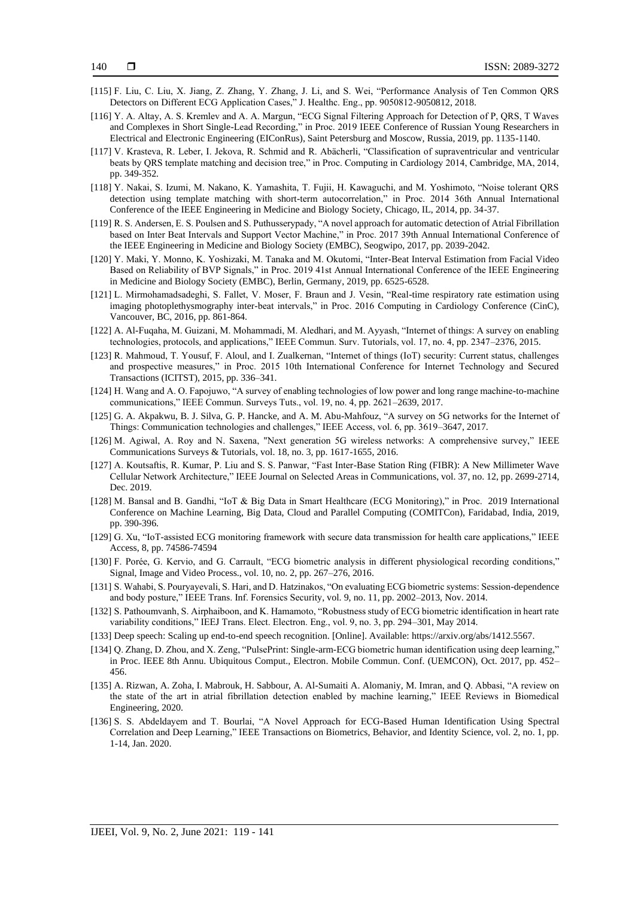- 140
- <span id="page-21-0"></span>[115] F. Liu, C. Liu, X. Jiang, Z. Zhang, Y. Zhang, J. Li, and S. Wei, "Performance Analysis of Ten Common QRS Detectors on Different ECG Application Cases," J. Healthc. Eng., pp. 9050812-9050812, 2018.
- <span id="page-21-1"></span>[116] Y. A. Altay, A. S. Kremlev and A. A. Margun, "ECG Signal Filtering Approach for Detection of P, QRS, T Waves and Complexes in Short Single-Lead Recording," in Proc. 2019 IEEE Conference of Russian Young Researchers in Electrical and Electronic Engineering (EIConRus), Saint Petersburg and Moscow, Russia, 2019, pp. 1135-1140.
- <span id="page-21-2"></span>[117] V. Krasteva, R. Leber, I. Jekova, R. Schmid and R. Abächerli, "Classification of supraventricular and ventricular beats by QRS template matching and decision tree," in Proc. Computing in Cardiology 2014, Cambridge, MA, 2014, pp. 349-352.
- <span id="page-21-3"></span>[118] Y. Nakai, S. Izumi, M. Nakano, K. Yamashita, T. Fujii, H. Kawaguchi, and M. Yoshimoto, "Noise tolerant QRS detection using template matching with short-term autocorrelation," in Proc. 2014 36th Annual International Conference of the IEEE Engineering in Medicine and Biology Society, Chicago, IL, 2014, pp. 34-37.
- <span id="page-21-4"></span>[119] R. S. Andersen, E. S. Poulsen and S. Puthusserypady, "A novel approach for automatic detection of Atrial Fibrillation based on Inter Beat Intervals and Support Vector Machine," in Proc. 2017 39th Annual International Conference of the IEEE Engineering in Medicine and Biology Society (EMBC), Seogwipo, 2017, pp. 2039-2042.
- <span id="page-21-5"></span>[120] Y. Maki, Y. Monno, K. Yoshizaki, M. Tanaka and M. Okutomi, "Inter-Beat Interval Estimation from Facial Video Based on Reliability of BVP Signals," in Proc. 2019 41st Annual International Conference of the IEEE Engineering in Medicine and Biology Society (EMBC), Berlin, Germany, 2019, pp. 6525-6528.
- <span id="page-21-6"></span>[121] L. Mirmohamadsadeghi, S. Fallet, V. Moser, F. Braun and J. Vesin, "Real-time respiratory rate estimation using imaging photoplethysmography inter-beat intervals," in Proc. 2016 Computing in Cardiology Conference (CinC), Vancouver, BC, 2016, pp. 861-864.
- <span id="page-21-7"></span>[122] A. Al-Fuqaha, M. Guizani, M. Mohammadi, M. Aledhari, and M. Ayyash, "Internet of things: A survey on enabling technologies, protocols, and applications," IEEE Commun. Surv. Tutorials, vol. 17, no. 4, pp. 2347–2376, 2015.
- <span id="page-21-8"></span>[123] R. Mahmoud, T. Yousuf, F. Aloul, and I. Zualkernan, "Internet of things (IoT) security: Current status, challenges and prospective measures," in Proc. 2015 10th International Conference for Internet Technology and Secured Transactions (ICITST), 2015, pp. 336–341.
- <span id="page-21-9"></span>[124] H. Wang and A. O. Fapojuwo, "A survey of enabling technologies of low power and long range machine-to-machine communications," IEEE Commun. Surveys Tuts., vol. 19, no. 4, pp. 2621–2639, 2017.
- <span id="page-21-10"></span>[125] G. A. Akpakwu, B. J. Silva, G. P. Hancke, and A. M. Abu-Mahfouz, "A survey on 5G networks for the Internet of Things: Communication technologies and challenges," IEEE Access, vol. 6, pp. 3619–3647, 2017.
- <span id="page-21-11"></span>[126] M. Agiwal, A. Roy and N. Saxena, "Next generation 5G wireless networks: A comprehensive survey," IEEE Communications Surveys & Tutorials, vol. 18, no. 3, pp. 1617-1655, 2016.
- <span id="page-21-12"></span>[127] A. Koutsaftis, R. Kumar, P. Liu and S. S. Panwar, "Fast Inter-Base Station Ring (FIBR): A New Millimeter Wave Cellular Network Architecture," IEEE Journal on Selected Areas in Communications, vol. 37, no. 12, pp. 2699-2714, Dec. 2019.
- <span id="page-21-13"></span>[128] M. Bansal and B. Gandhi, "IoT & Big Data in Smart Healthcare (ECG Monitoring)," in Proc. 2019 International Conference on Machine Learning, Big Data, Cloud and Parallel Computing (COMITCon), Faridabad, India, 2019, pp. 390-396.
- <span id="page-21-14"></span>[129] G. Xu, "IoT-assisted ECG monitoring framework with secure data transmission for health care applications," IEEE Access, 8, pp. 74586-74594
- <span id="page-21-15"></span>[130] F. Porée, G. Kervio, and G. Carrault, "ECG biometric analysis in different physiological recording conditions," Signal, Image and Video Process., vol. 10, no. 2, pp. 267–276, 2016.
- <span id="page-21-16"></span>[131] S. Wahabi, S. Pouryayevali, S. Hari, and D. Hatzinakos, "On evaluating ECG biometric systems: Session-dependence and body posture," IEEE Trans. Inf. Forensics Security, vol. 9, no. 11, pp. 2002–2013, Nov. 2014.
- <span id="page-21-17"></span>[132] S. Pathoumvanh, S. Airphaiboon, and K. Hamamoto, "Robustness study of ECG biometric identification in heart rate variability conditions," IEEJ Trans. Elect. Electron. Eng., vol. 9, no. 3, pp. 294–301, May 2014.
- <span id="page-21-18"></span>[133] Deep speech: Scaling up end-to-end speech recognition. [Online]. Available: [https://arxiv.org/abs/1412.5567.](https://arxiv.org/abs/1412.5567)
- <span id="page-21-19"></span>[134] Q. Zhang, D. Zhou, and X. Zeng, "PulsePrint: Single-arm-ECG biometric human identification using deep learning," in Proc. IEEE 8th Annu. Ubiquitous Comput., Electron. Mobile Commun. Conf. (UEMCON), Oct. 2017, pp. 452– 456.
- <span id="page-21-20"></span>[135] A. Rizwan, A. Zoha, I. Mabrouk, H. Sabbour, A. Al-Sumaiti A. Alomaniy, M. Imran, and Q. Abbasi, "A review on the state of the art in atrial fibrillation detection enabled by machine learning," IEEE Reviews in Biomedical Engineering, 2020.
- <span id="page-21-21"></span>[136] S. S. Abdeldayem and T. Bourlai, "A Novel Approach for ECG-Based Human Identification Using Spectral Correlation and Deep Learning," IEEE Transactions on Biometrics, Behavior, and Identity Science, vol. 2, no. 1, pp. 1-14, Jan. 2020.